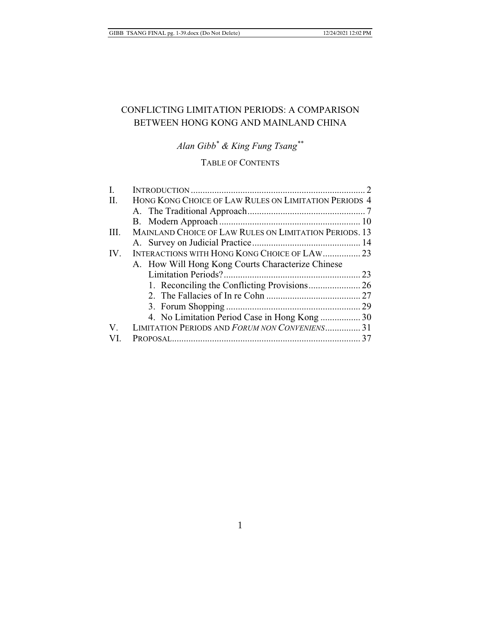# CONFLICTING LIMITATION PERIODS: A COMPARISON BETWEEN HONG KONG AND MAINLAND CHINA

*Alan Gibb\* & King Fung Tsang\*\** 

## TABLE OF CONTENTS

| I.   |                                                        |  |
|------|--------------------------------------------------------|--|
| II.  | HONG KONG CHOICE OF LAW RULES ON LIMITATION PERIODS 4  |  |
|      |                                                        |  |
|      |                                                        |  |
| III. | MAINLAND CHOICE OF LAW RULES ON LIMITATION PERIODS, 13 |  |
|      |                                                        |  |
| IV.  | INTERACTIONS WITH HONG KONG CHOICE OF LAW 23           |  |
|      | A. How Will Hong Kong Courts Characterize Chinese      |  |
|      |                                                        |  |
|      |                                                        |  |
|      |                                                        |  |
|      |                                                        |  |
|      |                                                        |  |
| V.   | LIMITATION PERIODS AND FORUM NON CONVENIENS31          |  |
| VI.  |                                                        |  |
|      |                                                        |  |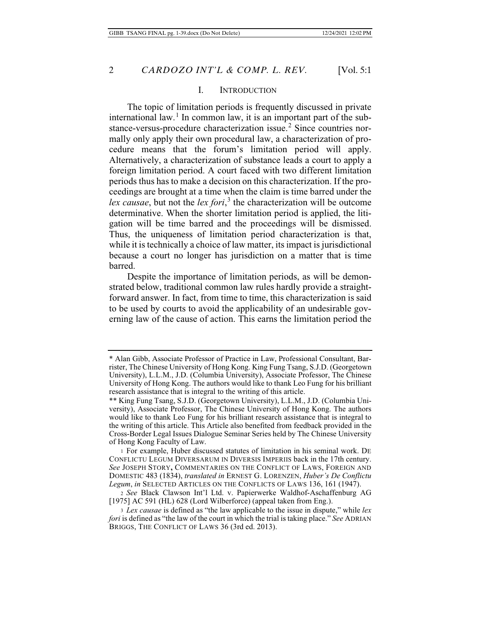#### I. INTRODUCTION

The topic of limitation periods is frequently discussed in private international law.<sup>1</sup> In common law, it is an important part of the substance-versus-procedure characterization issue.<sup>2</sup> Since countries normally only apply their own procedural law, a characterization of procedure means that the forum's limitation period will apply. Alternatively, a characterization of substance leads a court to apply a foreign limitation period. A court faced with two different limitation periods thus has to make a decision on this characterization. If the proceedings are brought at a time when the claim is time barred under the lex causae, but not the *lex fori*,<sup>3</sup> the characterization will be outcome determinative. When the shorter limitation period is applied, the litigation will be time barred and the proceedings will be dismissed. Thus, the uniqueness of limitation period characterization is that, while it is technically a choice of law matter, its impact is jurisdictional because a court no longer has jurisdiction on a matter that is time barred.

Despite the importance of limitation periods, as will be demonstrated below, traditional common law rules hardly provide a straightforward answer. In fact, from time to time, this characterization is said to be used by courts to avoid the applicability of an undesirable governing law of the cause of action. This earns the limitation period the

<sup>\*</sup> Alan Gibb, Associate Professor of Practice in Law, Professional Consultant, Barrister, The Chinese University of Hong Kong. King Fung Tsang, S.J.D. (Georgetown University), L.L.M., J.D. (Columbia University), Associate Professor, The Chinese University of Hong Kong. The authors would like to thank Leo Fung for his brilliant research assistance that is integral to the writing of this article.

<sup>\*\*</sup> King Fung Tsang, S.J.D. (Georgetown University), L.L.M., J.D. (Columbia University), Associate Professor, The Chinese University of Hong Kong. The authors would like to thank Leo Fung for his brilliant research assistance that is integral to the writing of this article. This Article also benefited from feedback provided in the Cross-Border Legal Issues Dialogue Seminar Series held by The Chinese University of Hong Kong Faculty of Law.

<sup>1</sup> For example, Huber discussed statutes of limitation in his seminal work. DE CONFLICTU LEGUM DIVERSARUM IN DIVERSIS IMPERIIS back in the 17th century. *See* JOSEPH STORY**,** COMMENTARIES ON THE CONFLICT OF LAWS, FOREIGN AND DOMESTIC 483 (1834), *translated in* ERNEST G. LORENZEN, *Huber's De Conflictu Legum*, *in* SELECTED ARTICLES ON THE CONFLICTS OF LAWS 136, 161 (1947).

<sup>2</sup> *See* Black Clawson Int'l Ltd. v. Papierwerke Waldhof-Aschaffenburg AG [1975] AC 591 (HL) 628 (Lord Wilberforce) (appeal taken from Eng.).

<sup>3</sup> *Lex causae* is defined as "the law applicable to the issue in dispute," while *lex fori* is defined as "the law of the court in which the trial is taking place." *See* ADRIAN BRIGGS, THE CONFLICT OF LAWS 36 (3rd ed. 2013).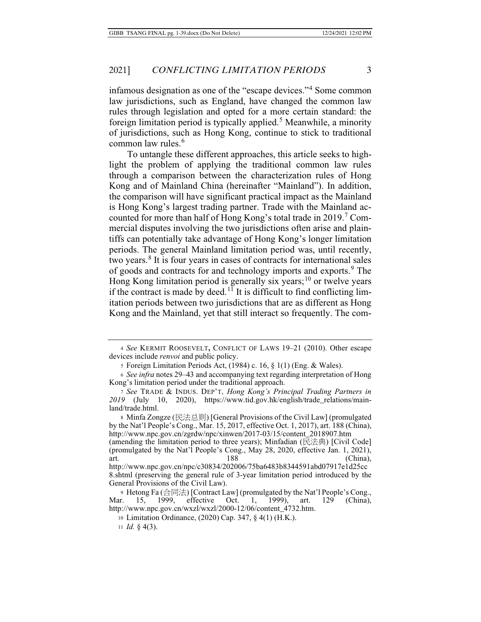infamous designation as one of the "escape devices."<sup>4</sup> Some common law jurisdictions, such as England, have changed the common law rules through legislation and opted for a more certain standard: the foreign limitation period is typically applied.<sup>5</sup> Meanwhile, a minority of jurisdictions, such as Hong Kong, continue to stick to traditional common law rules.<sup>6</sup>

To untangle these different approaches, this article seeks to highlight the problem of applying the traditional common law rules through a comparison between the characterization rules of Hong Kong and of Mainland China (hereinafter "Mainland"). In addition, the comparison will have significant practical impact as the Mainland is Hong Kong's largest trading partner. Trade with the Mainland accounted for more than half of Hong Kong's total trade in 2019.<sup>7</sup> Commercial disputes involving the two jurisdictions often arise and plaintiffs can potentially take advantage of Hong Kong's longer limitation periods. The general Mainland limitation period was, until recently, two years.<sup>8</sup> It is four years in cases of contracts for international sales of goods and contracts for and technology imports and exports.<sup>9</sup> The Hong Kong limitation period is generally six years;<sup>10</sup> or twelve years if the contract is made by deed.<sup>11</sup> It is difficult to find conflicting limitation periods between two jurisdictions that are as different as Hong Kong and the Mainland, yet that still interact so frequently. The com-

11 *Id.* § 4(3).

<sup>4</sup> *See* KERMIT ROOSEVELT**,** CONFLICT OF LAWS 19–21 (2010). Other escape devices include *renvoi* and public policy.

<sup>5</sup> Foreign Limitation Periods Act, (1984) c. 16, § 1(1) (Eng. & Wales).

<sup>6</sup> *See infra* notes 29–43 and accompanying text regarding interpretation of Hong Kong's limitation period under the traditional approach.

<sup>7</sup> *See* TRADE & INDUS. DEP'T**,** *Hong Kong's Principal Trading Partners in*  2020), https://www.tid.gov.hk/english/trade\_relations/mainland/trade.html.

<sup>8</sup> Minfa Zongze (民法总则) [General Provisions of the Civil Law] (promulgated by the Nat'l People's Cong., Mar. 15, 2017, effective Oct. 1, 2017), art. 188 (China), http://www.npc.gov.cn/zgrdw/npc/xinwen/2017-03/15/content\_2018907.htm (amending the limitation period to three years); Minfadian  $(E, \nexists \#)$  [Civil Code] (promulgated by the Nat'l People's Cong., May 28, 2020, effective Jan. 1, 2021), art. (China), 188 (China), 189 (China), 189 (China), 189 (China), 189 (China), 189 (China), 189 (China), 189 (China), 189 (China), 189 (China), 189 (China), 189 (China), 189 (China), 189 (China), 189 (China), 189 (China), http://www.npc.gov.cn/npc/c30834/202006/75ba6483b8344591abd07917e1d25cc 8.shtml (preserving the general rule of 3-year limitation period introduced by the General Provisions of the Civil Law).

<sup>9</sup> Hetong Fa (合同法) [Contract Law] (promulgated by the Nat'l People's Cong.,<br>r. 15, 1999, effective Oct. 1, 1999), art. 129 (China), Mar. 15, 1999, effective Oct. 1, 1999), art. 129 (China), http://www.npc.gov.cn/wxzl/wxzl/2000-12/06/content\_4732.htm.

<sup>10</sup> Limitation Ordinance, (2020) Cap. 347, § 4(1) (H.K.).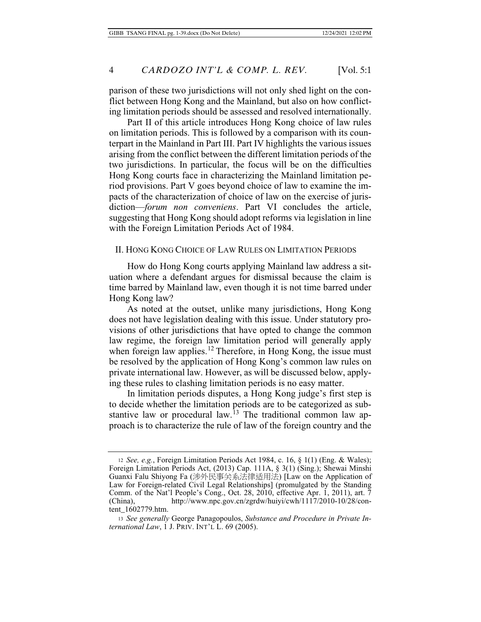parison of these two jurisdictions will not only shed light on the conflict between Hong Kong and the Mainland, but also on how conflicting limitation periods should be assessed and resolved internationally.

Part II of this article introduces Hong Kong choice of law rules on limitation periods. This is followed by a comparison with its counterpart in the Mainland in Part III. Part IV highlights the various issues arising from the conflict between the different limitation periods of the two jurisdictions. In particular, the focus will be on the difficulties Hong Kong courts face in characterizing the Mainland limitation period provisions. Part V goes beyond choice of law to examine the impacts of the characterization of choice of law on the exercise of jurisdiction—*forum non conveniens*. Part VI concludes the article, suggesting that Hong Kong should adopt reforms via legislation in line with the Foreign Limitation Periods Act of 1984.

### II. HONG KONG CHOICE OF LAW RULES ON LIMITATION PERIODS

How do Hong Kong courts applying Mainland law address a situation where a defendant argues for dismissal because the claim is time barred by Mainland law, even though it is not time barred under Hong Kong law?

As noted at the outset, unlike many jurisdictions, Hong Kong does not have legislation dealing with this issue. Under statutory provisions of other jurisdictions that have opted to change the common law regime, the foreign law limitation period will generally apply when foreign law applies.<sup>12</sup> Therefore, in Hong Kong, the issue must be resolved by the application of Hong Kong's common law rules on private international law. However, as will be discussed below, applying these rules to clashing limitation periods is no easy matter.

In limitation periods disputes, a Hong Kong judge's first step is to decide whether the limitation periods are to be categorized as substantive law or procedural law.<sup>13</sup> The traditional common law approach is to characterize the rule of law of the foreign country and the

<sup>12</sup> *See, e.g.*, Foreign Limitation Periods Act 1984, c. 16, § 1(1) (Eng. & Wales); Foreign Limitation Periods Act, (2013) Cap. 111A, § 3(1) (Sing.); Shewai Minshi Guanxi Falu Shiyong Fa (涉外民事关系法律适用法) [Law on the Application of Law for Foreign-related Civil Legal Relationships] (promulgated by the Standing Comm. of the Nat'l People's Cong., Oct. 28, 2010, effective Apr. 1, 2011), art. 7 (China), http://www.npc.gov.cn/zgrdw/huiyi/cwh/1117/2010-10/28/content\_1602779.htm.

<sup>13</sup> *See generally* George Panagopoulos, *Substance and Procedure in Private International Law*, 1 J**.** PRIV. INT'L L. 69 (2005).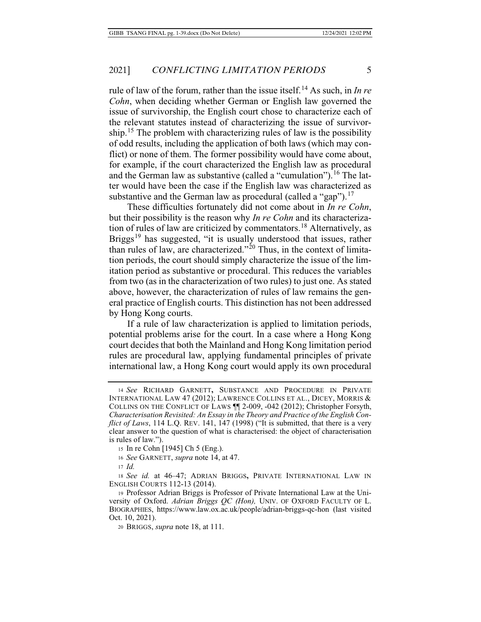rule of law of the forum, rather than the issue itself.14 As such, in *In re Cohn*, when deciding whether German or English law governed the issue of survivorship, the English court chose to characterize each of the relevant statutes instead of characterizing the issue of survivorship.<sup>15</sup> The problem with characterizing rules of law is the possibility of odd results, including the application of both laws (which may conflict) or none of them. The former possibility would have come about, for example, if the court characterized the English law as procedural and the German law as substantive (called a "cumulation").<sup>16</sup> The latter would have been the case if the English law was characterized as substantive and the German law as procedural (called a "gap").<sup>17</sup>

These difficulties fortunately did not come about in *In re Cohn*, but their possibility is the reason why *In re Cohn* and its characterization of rules of law are criticized by commentators.<sup>18</sup> Alternatively, as Briggs<sup>19</sup> has suggested, "it is usually understood that issues, rather than rules of law, are characterized."<sup>20</sup> Thus, in the context of limitation periods, the court should simply characterize the issue of the limitation period as substantive or procedural. This reduces the variables from two (as in the characterization of two rules) to just one. As stated above, however, the characterization of rules of law remains the general practice of English courts. This distinction has not been addressed by Hong Kong courts.

If a rule of law characterization is applied to limitation periods, potential problems arise for the court. In a case where a Hong Kong court decides that both the Mainland and Hong Kong limitation period rules are procedural law, applying fundamental principles of private international law, a Hong Kong court would apply its own procedural

<sup>14</sup> *See* RICHARD GARNETT**,** SUBSTANCE AND PROCEDURE IN PRIVATE INTERNATIONAL LAW 47 (2012); LAWRENCE COLLINS ET AL., DICEY, MORRIS & COLLINS ON THE CONFLICT OF LAWS ¶¶ 2-009, -042 (2012); Christopher Forsyth, *Characterisation Revisited: An Essay in the Theory and Practice of the English Conflict of Laws*, 114 L.Q. REV. 141, 147 (1998) ("It is submitted, that there is a very clear answer to the question of what is characterised: the object of characterisation is rules of law.").

<sup>15</sup> In re Cohn [1945] Ch 5 (Eng.).

<sup>16</sup> *See* GARNETT, *supra* note 14, at 47.

<sup>17</sup> *Id.*

<sup>18</sup> *See id.* at 46–47; ADRIAN BRIGGS**,** PRIVATE INTERNATIONAL LAW IN ENGLISH COURTS 112-13 (2014).

<sup>19</sup> Professor Adrian Briggs is Professor of Private International Law at the University of Oxford. *Adrian Briggs QC (Hon),* UNIV. OF OXFORD FACULTY OF L. BIOGRAPHIES, https://www.law.ox.ac.uk/people/adrian-briggs-qc-hon (last visited Oct. 10, 2021).

<sup>20</sup> BRIGGS, *supra* note 18, at 111.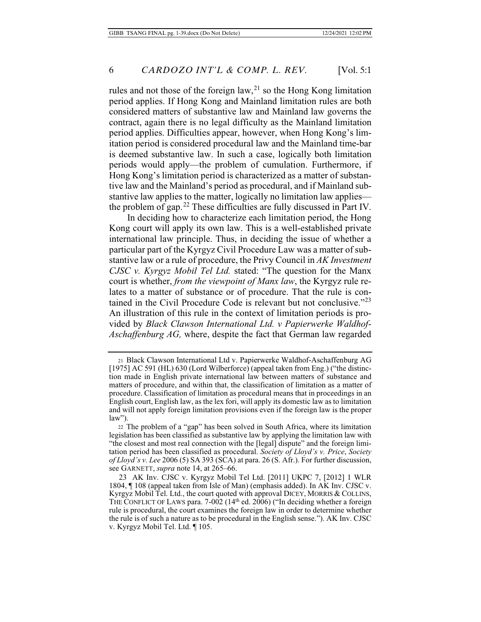rules and not those of the foreign law,  $2<sup>1</sup>$  so the Hong Kong limitation period applies. If Hong Kong and Mainland limitation rules are both considered matters of substantive law and Mainland law governs the contract, again there is no legal difficulty as the Mainland limitation period applies. Difficulties appear, however, when Hong Kong's limitation period is considered procedural law and the Mainland time-bar is deemed substantive law. In such a case, logically both limitation periods would apply—the problem of cumulation. Furthermore, if Hong Kong's limitation period is characterized as a matter of substantive law and the Mainland's period as procedural, and if Mainland substantive law applies to the matter, logically no limitation law applies the problem of gap.<sup>22</sup> These difficulties are fully discussed in Part IV.

In deciding how to characterize each limitation period, the Hong Kong court will apply its own law. This is a well-established private international law principle. Thus, in deciding the issue of whether a particular part of the Kyrgyz Civil Procedure Law was a matter of substantive law or a rule of procedure, the Privy Council in *AK Investment CJSC v. Kyrgyz Mobil Tel Ltd.* stated: "The question for the Manx court is whether, *from the viewpoint of Manx law*, the Kyrgyz rule relates to a matter of substance or of procedure. That the rule is contained in the Civil Procedure Code is relevant but not conclusive."<sup>23</sup> An illustration of this rule in the context of limitation periods is provided by *Black Clawson International Ltd. v Papierwerke Waldhof-Aschaffenburg AG,* where, despite the fact that German law regarded

<sup>21</sup> Black Clawson International Ltd v. Papierwerke Waldhof-Aschaffenburg AG [1975] AC 591 (HL) 630 (Lord Wilberforce) (appeal taken from Eng.) ("the distinction made in English private international law between matters of substance and matters of procedure, and within that, the classification of limitation as a matter of procedure. Classification of limitation as procedural means that in proceedings in an English court, English law, as the lex fori, will apply its domestic law as to limitation and will not apply foreign limitation provisions even if the foreign law is the proper law").

<sup>22</sup> The problem of a "gap" has been solved in South Africa, where its limitation legislation has been classified as substantive law by applying the limitation law with "the closest and most real connection with the [legal] dispute" and the foreign limitation period has been classified as procedural. *Society of Lloyd's v. Price*, *Society of Lloyd's v. Lee* 2006 (5) SA 393 (SCA) at para. 26 (S. Afr.). For further discussion, see GARNETT, *supra* note 14, at 265–66.

 <sup>23</sup> AK Inv. CJSC v. Kyrgyz Mobil Tel Ltd. [2011] UKPC 7, [2012] 1 WLR 1804, ¶ 108 (appeal taken from Isle of Man) (emphasis added). In AK Inv. CJSC v. Kyrgyz Mobil Tel. Ltd., the court quoted with approval DICEY, MORRIS & COLLINS, THE CONFLICT OF LAWS para. 7-002 (14th ed. 2006) ("In deciding whether a foreign rule is procedural, the court examines the foreign law in order to determine whether the rule is of such a nature as to be procedural in the English sense."). AK Inv. CJSC v. Kyrgyz Mobil Tel. Ltd. ¶ 105.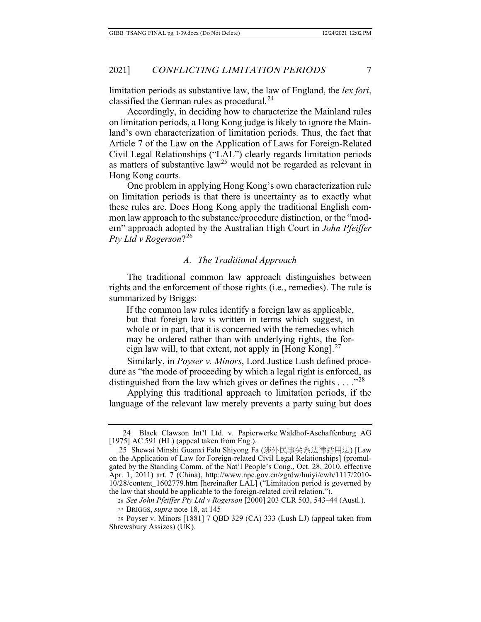limitation periods as substantive law, the law of England, the *lex fori*, classified the German rules as procedural*.* 24

Accordingly, in deciding how to characterize the Mainland rules on limitation periods, a Hong Kong judge is likely to ignore the Mainland's own characterization of limitation periods. Thus, the fact that Article 7 of the Law on the Application of Laws for Foreign-Related Civil Legal Relationships ("LAL") clearly regards limitation periods as matters of substantive law<sup>25</sup> would not be regarded as relevant in Hong Kong courts.

One problem in applying Hong Kong's own characterization rule on limitation periods is that there is uncertainty as to exactly what these rules are. Does Hong Kong apply the traditional English common law approach to the substance/procedure distinction, or the "modern" approach adopted by the Australian High Court in *John Pfeiffer Pty Ltd v Rogerson*?<sup>26</sup>

#### *A. The Traditional Approach*

The traditional common law approach distinguishes between rights and the enforcement of those rights (i.e., remedies). The rule is summarized by Briggs:

If the common law rules identify a foreign law as applicable, but that foreign law is written in terms which suggest, in whole or in part, that it is concerned with the remedies which may be ordered rather than with underlying rights, the foreign law will, to that extent, not apply in [Hong Kong]. $27$ 

Similarly, in *Poyser v. Minors*, Lord Justice Lush defined procedure as "the mode of proceeding by which a legal right is enforced, as distinguished from the law which gives or defines the rights  $\dots$ ."<sup>28</sup>

Applying this traditional approach to limitation periods, if the language of the relevant law merely prevents a party suing but does

28 Poyser v. Minors [1881] 7 QBD 329 (CA) 333 (Lush LJ) (appeal taken from Shrewsbury Assizes) (UK).

 <sup>24</sup> Black Clawson Int'l Ltd. v. Papierwerke Waldhof-Aschaffenburg AG [1975] AC 591 (HL) (appeal taken from Eng.).

<sup>25</sup> Shewai Minshi Guanxi Falu Shiyong Fa (涉外民事关系法律适用法) [Law on the Application of Law for Foreign-related Civil Legal Relationships] (promulgated by the Standing Comm. of the Nat'l People's Cong., Oct. 28, 2010, effective Apr. 1, 2011) art. 7 (China), http://www.npc.gov.cn/zgrdw/huiyi/cwh/1117/2010- 10/28/content\_1602779.htm [hereinafter LAL] ("Limitation period is governed by the law that should be applicable to the foreign-related civil relation.").

<sup>26</sup> *See John Pfeiffer Pty Ltd v Rogerson* [2000] 203 CLR 503, 543–44 (Austl.).

<sup>27</sup> BRIGGS, *supra* note 18, at 145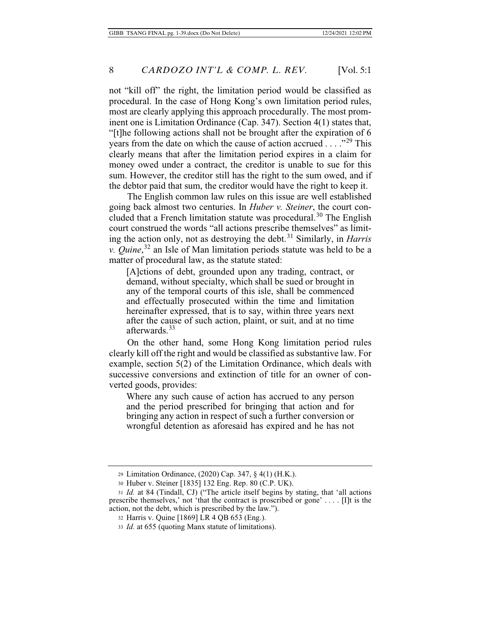not "kill off" the right, the limitation period would be classified as procedural. In the case of Hong Kong's own limitation period rules, most are clearly applying this approach procedurally. The most prominent one is Limitation Ordinance (Cap. 347). Section 4(1) states that, "[t]he following actions shall not be brought after the expiration of 6 years from the date on which the cause of action accrued . . . . .<sup>29</sup> This clearly means that after the limitation period expires in a claim for money owed under a contract, the creditor is unable to sue for this sum. However, the creditor still has the right to the sum owed, and if the debtor paid that sum, the creditor would have the right to keep it.

The English common law rules on this issue are well established going back almost two centuries. In *Huber v. Steiner*, the court concluded that a French limitation statute was procedural.<sup>30</sup> The English court construed the words "all actions prescribe themselves" as limiting the action only, not as destroying the debt.<sup>31</sup> Similarly, in *Harris v. Quine*, 32 an Isle of Man limitation periods statute was held to be a matter of procedural law, as the statute stated:

[A]ctions of debt, grounded upon any trading, contract, or demand, without specialty, which shall be sued or brought in any of the temporal courts of this isle, shall be commenced and effectually prosecuted within the time and limitation hereinafter expressed, that is to say, within three years next after the cause of such action, plaint, or suit, and at no time afterwards.<sup>33</sup>

On the other hand, some Hong Kong limitation period rules clearly kill off the right and would be classified as substantive law. For example, section 5(2) of the Limitation Ordinance, which deals with successive conversions and extinction of title for an owner of converted goods, provides:

Where any such cause of action has accrued to any person and the period prescribed for bringing that action and for bringing any action in respect of such a further conversion or wrongful detention as aforesaid has expired and he has not

<sup>29</sup> Limitation Ordinance, (2020) Cap. 347, § 4(1) (H.K.).

<sup>30</sup> Huber v. Steiner [1835] 132 Eng. Rep. 80 (C.P. UK).

<sup>31</sup> *Id.* at 84 (Tindall, CJ) ("The article itself begins by stating, that 'all actions prescribe themselves,' not 'that the contract is proscribed or gone' . . . . [I]t is the action, not the debt, which is prescribed by the law.").

<sup>32</sup> Harris v. Quine [1869] LR 4 QB 653 (Eng.).

<sup>33</sup> *Id.* at 655 (quoting Manx statute of limitations).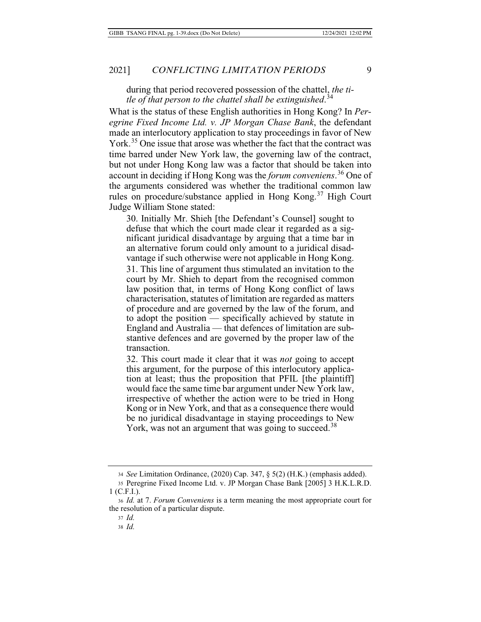during that period recovered possession of the chattel, *the title of that person to the chattel shall be extinguished*. 34

What is the status of these English authorities in Hong Kong? In *Peregrine Fixed Income Ltd. v. JP Morgan Chase Bank*, the defendant made an interlocutory application to stay proceedings in favor of New York.<sup>35</sup> One issue that arose was whether the fact that the contract was time barred under New York law, the governing law of the contract, but not under Hong Kong law was a factor that should be taken into account in deciding if Hong Kong was the *forum conveniens*. 36 One of the arguments considered was whether the traditional common law rules on procedure/substance applied in Hong Kong.<sup>37</sup> High Court Judge William Stone stated:

30. Initially Mr. Shieh [the Defendant's Counsel] sought to defuse that which the court made clear it regarded as a significant juridical disadvantage by arguing that a time bar in an alternative forum could only amount to a juridical disadvantage if such otherwise were not applicable in Hong Kong. 31. This line of argument thus stimulated an invitation to the court by Mr. Shieh to depart from the recognised common law position that, in terms of Hong Kong conflict of laws characterisation, statutes of limitation are regarded as matters of procedure and are governed by the law of the forum, and to adopt the position — specifically achieved by statute in England and Australia — that defences of limitation are substantive defences and are governed by the proper law of the transaction.

32. This court made it clear that it was *not* going to accept this argument, for the purpose of this interlocutory application at least; thus the proposition that PFIL [the plaintiff] would face the same time bar argument under New York law, irrespective of whether the action were to be tried in Hong Kong or in New York, and that as a consequence there would be no juridical disadvantage in staying proceedings to New York, was not an argument that was going to succeed.<sup>38</sup>

<sup>34</sup> *See* Limitation Ordinance, (2020) Cap. 347, § 5(2) (H.K.) (emphasis added).

<sup>35</sup> Peregrine Fixed Income Ltd. v. JP Morgan Chase Bank [2005] 3 H.K.L.R.D. 1 (C.F.I.).

<sup>36</sup> *Id.* at 7. *Forum Conveniens* is a term meaning the most appropriate court for the resolution of a particular dispute.

<sup>37</sup> *Id.*

<sup>38</sup> *Id.*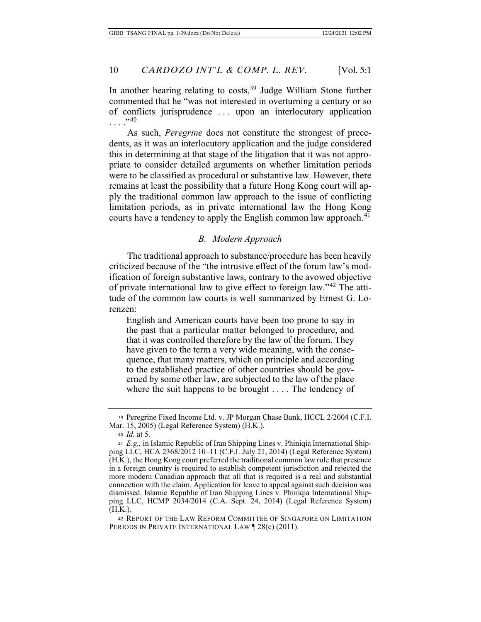In another hearing relating to costs,<sup>39</sup> Judge William Stone further commented that he "was not interested in overturning a century or so of conflicts jurisprudence . . . upon an interlocutory application . . . ."<sup>40</sup>

As such, *Peregrine* does not constitute the strongest of precedents, as it was an interlocutory application and the judge considered this in determining at that stage of the litigation that it was not appropriate to consider detailed arguments on whether limitation periods were to be classified as procedural or substantive law. However, there remains at least the possibility that a future Hong Kong court will apply the traditional common law approach to the issue of conflicting limitation periods, as in private international law the Hong Kong courts have a tendency to apply the English common law approach.<sup>4 $\overline{1}$ </sup>

### *B. Modern Approach*

The traditional approach to substance/procedure has been heavily criticized because of the "the intrusive effect of the forum law's modification of foreign substantive laws, contrary to the avowed objective of private international law to give effect to foreign law."42 The attitude of the common law courts is well summarized by Ernest G. Lorenzen:

English and American courts have been too prone to say in the past that a particular matter belonged to procedure, and that it was controlled therefore by the law of the forum. They have given to the term a very wide meaning, with the consequence, that many matters, which on principle and according to the established practice of other countries should be governed by some other law, are subjected to the law of the place where the suit happens to be brought . . . . The tendency of

<sup>42</sup> REPORT OF THE LAW REFORM COMMITTEE OF SINGAPORE ON LIMITATION PERIODS IN PRIVATE INTERNATIONAL LAW <sup>1</sup>28(c) (2011).

<sup>39</sup> Peregrine Fixed Income Ltd. v. JP Morgan Chase Bank, HCCL 2/2004 (C.F.I. Mar. 15, 2005) (Legal Reference System) (H.K.).

<sup>40</sup> *Id.* at 5.

<sup>41</sup> *E.g.,* in Islamic Republic of Iran Shipping Lines v. Phiniqia International Shipping LLC, HCA 2368/2012 10–11 (C.F.I. July 21, 2014) (Legal Reference System) (H.K.), the Hong Kong court preferred the traditional common law rule that presence in a foreign country is required to establish competent jurisdiction and rejected the more modern Canadian approach that all that is required is a real and substantial connection with the claim. Application for leave to appeal against such decision was dismissed. Islamic Republic of Iran Shipping Lines v. Phiniqia International Shipping LLC, HCMP 2034/2014 (C.A. Sept. 24, 2014) (Legal Reference System) (H.K.).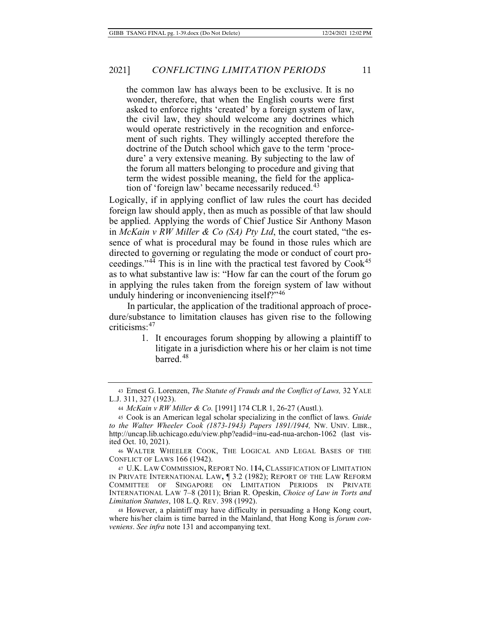the common law has always been to be exclusive. It is no wonder, therefore, that when the English courts were first asked to enforce rights 'created' by a foreign system of law, the civil law, they should welcome any doctrines which would operate restrictively in the recognition and enforcement of such rights. They willingly accepted therefore the doctrine of the Dutch school which gave to the term 'procedure' a very extensive meaning. By subjecting to the law of the forum all matters belonging to procedure and giving that term the widest possible meaning, the field for the application of 'foreign law' became necessarily reduced.<sup>43</sup>

Logically, if in applying conflict of law rules the court has decided foreign law should apply, then as much as possible of that law should be applied. Applying the words of Chief Justice Sir Anthony Mason in *McKain v RW Miller & Co (SA) Pty Ltd*, the court stated, "the essence of what is procedural may be found in those rules which are directed to governing or regulating the mode or conduct of court proceedings."<sup>44</sup> This is in line with the practical test favored by  $Cook<sup>45</sup>$ as to what substantive law is: "How far can the court of the forum go in applying the rules taken from the foreign system of law without unduly hindering or inconveniencing itself?"<sup>46</sup>

In particular, the application of the traditional approach of procedure/substance to limitation clauses has given rise to the following criticisms:<sup>47</sup>

> 1. It encourages forum shopping by allowing a plaintiff to litigate in a jurisdiction where his or her claim is not time barred.<sup>48</sup>

<sup>43</sup> Ernest G. Lorenzen, *The Statute of Frauds and the Conflict of Laws,* 32 YALE L.J. 311, 327 (1923).

<sup>44</sup> *McKain v RW Miller & Co.* [1991] 174 CLR 1, 26-27 (Austl.).

<sup>45</sup> Cook is an American legal scholar specializing in the conflict of laws. *Guide to the Walter Wheeler Cook (1873-1943) Papers 1891/1944,* NW. UNIV. LIBR., http://uncap.lib.uchicago.edu/view.php?eadid=inu-ead-nua-archon-1062 (last visited Oct. 10, 2021).

<sup>46</sup> WALTER WHEELER COOK, THE LOGICAL AND LEGAL BASES OF THE CONFLICT OF LAWS 166 (1942).

<sup>47</sup> U.K. LAW COMMISSION**,** REPORT NO. 1**1**4**,** CLASSIFICATION OF LIMITATION IN PRIVATE INTERNATIONAL LAW**,** ¶ 3.2 (1982); REPORT OF THE LAW REFORM COMMITTEE OF SINGAPORE ON LIMITATION PERIODS IN PRIVATE INTERNATIONAL LAW 7–8 (2011); Brian R. Opeskin, *Choice of Law in Torts and Limitation Statutes*, 108 L.Q. REV. 398 (1992).

<sup>48</sup> However, a plaintiff may have difficulty in persuading a Hong Kong court, where his/her claim is time barred in the Mainland, that Hong Kong is *forum conveniens*. *See infra* note 131 and accompanying text.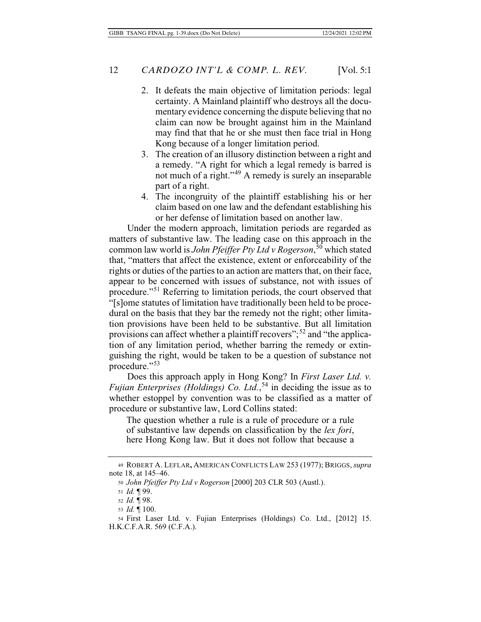- 2. It defeats the main objective of limitation periods: legal certainty. A Mainland plaintiff who destroys all the documentary evidence concerning the dispute believing that no claim can now be brought against him in the Mainland may find that that he or she must then face trial in Hong Kong because of a longer limitation period.
- 3. The creation of an illusory distinction between a right and a remedy. "A right for which a legal remedy is barred is not much of a right."49 A remedy is surely an inseparable part of a right.
- 4. The incongruity of the plaintiff establishing his or her claim based on one law and the defendant establishing his or her defense of limitation based on another law.

Under the modern approach, limitation periods are regarded as matters of substantive law. The leading case on this approach in the common law world is *John Pfeiffer Pty Ltd v Rogerson*, 50 which stated that, "matters that affect the existence, extent or enforceability of the rights or duties of the parties to an action are matters that, on their face, appear to be concerned with issues of substance, not with issues of procedure."51 Referring to limitation periods, the court observed that "[s]ome statutes of limitation have traditionally been held to be procedural on the basis that they bar the remedy not the right; other limitation provisions have been held to be substantive. But all limitation provisions can affect whether a plaintiff recovers";<sup>52</sup> and "the application of any limitation period, whether barring the remedy or extinguishing the right, would be taken to be a question of substance not procedure."<sup>53</sup>

Does this approach apply in Hong Kong? In *First Laser Ltd. v. Fujian Enterprises (Holdings) Co. Ltd.*, 54 in deciding the issue as to whether estoppel by convention was to be classified as a matter of procedure or substantive law, Lord Collins stated:

The question whether a rule is a rule of procedure or a rule of substantive law depends on classification by the *lex fori*, here Hong Kong law. But it does not follow that because a

<sup>49</sup> ROBERT A. LEFLAR**,** AMERICAN CONFLICTS LAW 253 (1977); BRIGGS, *supra* note 18, at 145–46.

<sup>50</sup> *John Pfeiffer Pty Ltd v Rogerson* [2000] 203 CLR 503 (Austl.).

<sup>51</sup> *Id.* ¶ 99.

<sup>52</sup> *Id.* ¶ 98.

<sup>53</sup> *Id.* ¶ 100.

<sup>54</sup> First Laser Ltd. v. Fujian Enterprises (Holdings) Co. Ltd., [2012] 15. H.K.C.F.A.R. 569 (C.F.A.).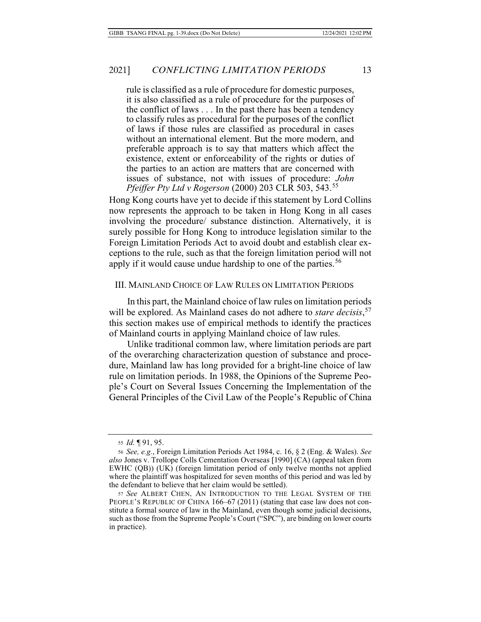rule is classified as a rule of procedure for domestic purposes, it is also classified as a rule of procedure for the purposes of the conflict of laws . . . In the past there has been a tendency to classify rules as procedural for the purposes of the conflict of laws if those rules are classified as procedural in cases without an international element. But the more modern, and preferable approach is to say that matters which affect the existence, extent or enforceability of the rights or duties of the parties to an action are matters that are concerned with issues of substance, not with issues of procedure: *John Pfeiffer Pty Ltd v Rogerson* (2000) 203 CLR 503, 543.<sup>55</sup>

Hong Kong courts have yet to decide if this statement by Lord Collins now represents the approach to be taken in Hong Kong in all cases involving the procedure/ substance distinction. Alternatively, it is surely possible for Hong Kong to introduce legislation similar to the Foreign Limitation Periods Act to avoid doubt and establish clear exceptions to the rule, such as that the foreign limitation period will not apply if it would cause undue hardship to one of the parties.<sup>56</sup>

### III. MAINLAND CHOICE OF LAW RULES ON LIMITATION PERIODS

In this part, the Mainland choice of law rules on limitation periods will be explored. As Mainland cases do not adhere to *stare decisis*, 57 this section makes use of empirical methods to identify the practices of Mainland courts in applying Mainland choice of law rules.

Unlike traditional common law, where limitation periods are part of the overarching characterization question of substance and procedure, Mainland law has long provided for a bright-line choice of law rule on limitation periods. In 1988, the Opinions of the Supreme People's Court on Several Issues Concerning the Implementation of the General Principles of the Civil Law of the People's Republic of China

<sup>55</sup> *Id.* ¶ 91, 95.

<sup>56</sup> *See, e.g.*, Foreign Limitation Periods Act 1984, c. 16, § 2 (Eng. & Wales). *See also* Jones v. Trollope Colls Cementation Overseas [1990] (CA) (appeal taken from EWHC (QB)) (UK) (foreign limitation period of only twelve months not applied where the plaintiff was hospitalized for seven months of this period and was led by the defendant to believe that her claim would be settled).

<sup>57</sup> *See* ALBERT CHEN**,** AN INTRODUCTION TO THE LEGAL SYSTEM OF THE PEOPLE'S REPUBLIC OF CHINA 166–67 (2011) (stating that case law does not constitute a formal source of law in the Mainland, even though some judicial decisions, such as those from the Supreme People's Court ("SPC"), are binding on lower courts in practice).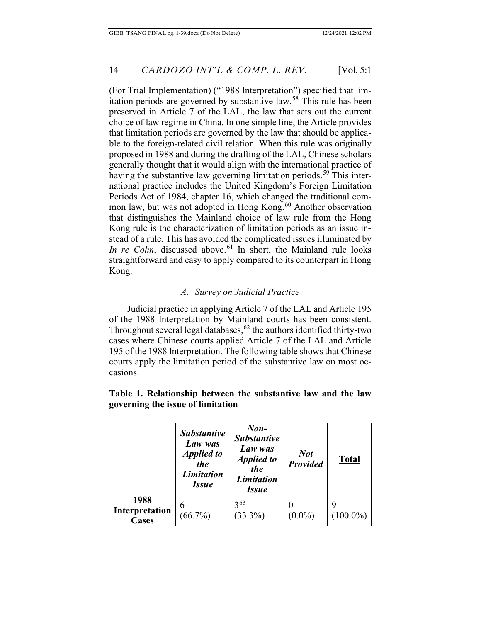(For Trial Implementation) ("1988 Interpretation") specified that limitation periods are governed by substantive law.<sup>58</sup> This rule has been preserved in Article 7 of the LAL, the law that sets out the current choice of law regime in China. In one simple line, the Article provides that limitation periods are governed by the law that should be applicable to the foreign-related civil relation. When this rule was originally proposed in 1988 and during the drafting of the LAL, Chinese scholars generally thought that it would align with the international practice of having the substantive law governing limitation periods.<sup>59</sup> This international practice includes the United Kingdom's Foreign Limitation Periods Act of 1984, chapter 16, which changed the traditional common law, but was not adopted in Hong Kong.<sup>60</sup> Another observation that distinguishes the Mainland choice of law rule from the Hong Kong rule is the characterization of limitation periods as an issue instead of a rule. This has avoided the complicated issues illuminated by *In re Cohn*, discussed above.<sup>61</sup> In short, the Mainland rule looks straightforward and easy to apply compared to its counterpart in Hong Kong.

### *A. Survey on Judicial Practice*

Judicial practice in applying Article 7 of the LAL and Article 195 of the 1988 Interpretation by Mainland courts has been consistent. Throughout several legal databases,  $62$  the authors identified thirty-two cases where Chinese courts applied Article 7 of the LAL and Article 195 of the 1988 Interpretation. The following table shows that Chinese courts apply the limitation period of the substantive law on most occasions.

|                                        | <b>Substantive</b><br>Law was<br><b>Applied to</b><br>the<br><b>Limitation</b><br><i>Issue</i> | $Non-$<br><b>Substantive</b><br>Law was<br><b>Applied to</b><br>the<br><b>Limitation</b><br><i>Issue</i> | <b>Not</b><br>Provided | <b>Total</b>     |
|----------------------------------------|------------------------------------------------------------------------------------------------|----------------------------------------------------------------------------------------------------------|------------------------|------------------|
| 1988<br>Interpretation<br><b>Cases</b> | 6<br>$(66.7\%)$                                                                                | $3^{63}$<br>$(33.3\%)$                                                                                   | $(0.0\%)$              | 9<br>$(100.0\%)$ |

### **Table 1. Relationship between the substantive law and the law governing the issue of limitation**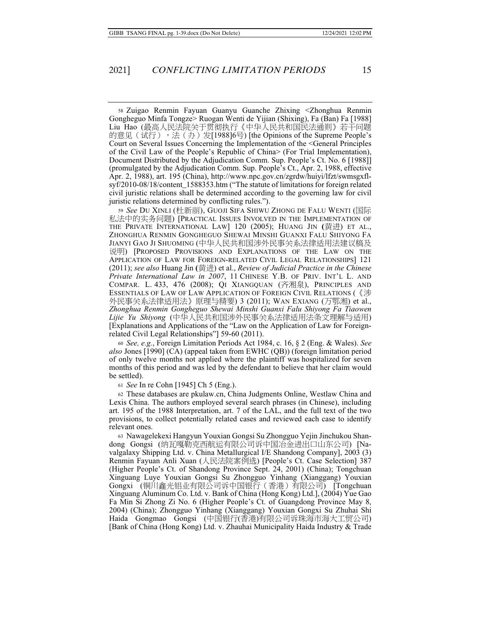58 Zuigao Renmin Fayuan Guanyu Guanche Zhixing <Zhonghua Renmin Gongheguo Minfa Tongze> Ruogan Wenti de Yijian (Shixing), Fa (Ban) Fa [1988] Liu Hao (最高人民法院关于贯彻执行《中华人民共和国民法通则》若干问题 的意见(试行),法(办)发[1988]6号) [the Opinions of the Supreme People's Court on Several Issues Concerning the Implementation of the <General Principles of the Civil Law of the People's Republic of China> (For Trial Implementation), Document Distributed by the Adjudication Comm. Sup. People's Ct. No. 6 [1988]] (promulgated by the Adjudication Comm. Sup. People's Ct., Apr. 2, 1988, effective Apr. 2, 1988), art. 195 (China), http://www.npc.gov.cn/zgrdw/huiyi/lfzt/swmsgxflsyf/2010-08/18/content\_1588353.htm ("The statute of limitations for foreign related civil juristic relations shall be determined according to the governing law for civil juristic relations determined by conflicting rules.").

59 *See* Du Xinli (杜新丽), Guoji Sifa Shiwu Zhong de Falu Wenti (国际 私法中的实务问题) [PRACTICAL ISSUES INVOLVED IN THE IMPLEMENTATION OF THE PRIVATE INTERNATIONAL LAW] 120 (2005); HUANG JIN (黄进) ET AL., ZHONGHUA RENMIN GONGHEGUO SHEWAI MINSHI GUANXI FALU SHIYONG FA JIANYI GAO JI SHUOMING (中华人民共和国涉外民事关系法律适用法建议稿及 宜㖶) [PROPOSED PROVISIONS AND EXPLANATIONS OF THE LAW ON THE APPLICATION OF LAW FOR FOREIGN-RELATED CIVIL LEGAL RELATIONSHIPS] 121 (2011); *see also* Huang Jin (黃汫) et al., *Review of Judicial Practice in the Chinese Private International Law in 2007*, 11 CHINESE Y.B. OF PRIV. INT'L L. AND COMPAR. L. 433, 476 (2008); QI XIANGQUAN (齐湘泉), PRINCIPLES AND ESSENTIALS OF LAW OF LAW APPLICATION OF FOREIGN CIVIL RELATIONS (《涉 外民事关系法律适用法》原理与精要) 3 (2011); WAN EXIANG (万鄂湘) et al., *Zhonghua Renmin Gongheguo Shewai Minshi Guanxi Falu Shiyong Fa Tiaowen Lijie Yu Shiyong* (中华人民共和国涉外民事关系法律适用法条文理解与适用) [Explanations and Applications of the "Law on the Application of Law for Foreignrelated Civil Legal Relationships"] 59-60 (2011).

<sup>60</sup> *See, e.g.*, Foreign Limitation Periods Act 1984, c. 16, § 2 (Eng. & Wales). *See also* Jones [1990] (CA) (appeal taken from EWHC (QB)) (foreign limitation period of only twelve months not applied where the plaintiff was hospitalized for seven months of this period and was led by the defendant to believe that her claim would be settled).

<sup>61</sup> *See* In re Cohn [1945] Ch 5 (Eng.).

62 These databases are pkulaw.cn, China Judgments Online, Westlaw China and Lexis China. The authors employed several search phrases (in Chinese), including art. 195 of the 1988 Interpretation, art. 7 of the LAL, and the full text of the two provisions, to collect potentially related cases and reviewed each case to identify relevant ones.

63 Nawagelekexi Hangyun Youxian Gongsi Su Zhongguo Yejin Jinchukou Shandong Gongsi (纳瓦嘎勒克西航运有限公司诉中国冶金进出口山东公司) [Navalgalaxy Shipping Ltd. v. China Metallurgical I/E Shandong Company], 2003 (3) Renmin Fayuan Anli Xuan (人民法院案例选) [People's Ct. Case Selection] 387 (Higher People's Ct. of Shandong Province Sept. 24, 2001) (China); Tongchuan Xinguang Luye Youxian Gongsi Su Zhongguo Yinhang (Xianggang) Youxian Gongxi (铜川鑫光铝业有限公司诉中国银行(香港)有限公司) [Tongchuan Xinguang Aluminum Co. Ltd. v. Bank of China (Hong Kong) Ltd.], (2004) Yue Gao Fa Min Si Zhong Zi No. 6 (Higher People's Ct. of Guangdong Province May 8, 2004) (China); Zhongguo Yinhang (Xianggang) Youxian Gongxi Su Zhuhai Shi Haida Gongmao Gongsi (中国银行(香港)有限公司诉珠海市海大工贸公司) [Bank of China (Hong Kong) Ltd. v. Zhauhai Municipality Haida Industry & Trade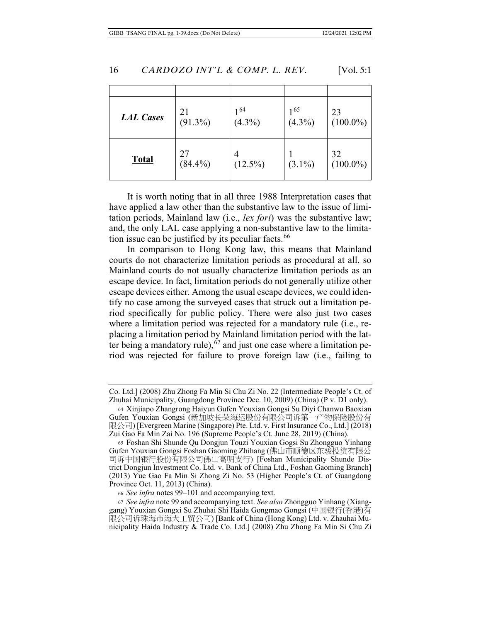| <b>LAL Cases</b> | 21<br>$(91.3\%)$ | 164<br>$(4.3\%)$ | $1^{65}$<br>$(4.3\%)$ | 23<br>$(100.0\%)$ |
|------------------|------------------|------------------|-----------------------|-------------------|
| <b>Total</b>     | 27<br>$(84.4\%)$ | 4<br>$(12.5\%)$  | $(3.1\%)$             | 32<br>$(100.0\%)$ |

It is worth noting that in all three 1988 Interpretation cases that have applied a law other than the substantive law to the issue of limitation periods, Mainland law (i.e., *lex fori*) was the substantive law; and, the only LAL case applying a non-substantive law to the limitation issue can be justified by its peculiar facts.<sup>66</sup>

In comparison to Hong Kong law, this means that Mainland courts do not characterize limitation periods as procedural at all, so Mainland courts do not usually characterize limitation periods as an escape device. In fact, limitation periods do not generally utilize other escape devices either. Among the usual escape devices, we could identify no case among the surveyed cases that struck out a limitation period specifically for public policy. There were also just two cases where a limitation period was rejected for a mandatory rule (i.e., replacing a limitation period by Mainland limitation period with the latter being a mandatory rule),  $67$  and just one case where a limitation period was rejected for failure to prove foreign law (i.e., failing to

Co. Ltd.] (2008) Zhu Zhong Fa Min Si Chu Zi No. 22 (Intermediate People's Ct. of Zhuhai Municipality, Guangdong Province Dec. 10, 2009) (China) (P v. D1 only).

<sup>64</sup> Xinjiapo Zhangrong Haiyun Gufen Youxian Gongsi Su Diyi Chanwu Baoxian Gufen Youxian Gongsi (新加坡长荣海运股份有限公司诉第一产物保险股份有 限公司) [Evergreen Marine (Singapore) Pte. Ltd. v. First Insurance Co., Ltd.] (2018) Zui Gao Fa Min Zai No. 196 (Supreme People's Ct. June 28, 2019) (China).

<sup>65</sup> Foshan Shi Shunde Qu Dongjun Touzi Youxian Gogsi Su Zhongguo Yinhang Gufen Youxian Gongsi Foshan Gaoming Zhihang (佛山市顺德区东骏投资有限公 司诉中国银行股份有限公司佛山高明支行) [Foshan Municipality Shunde District Dongjun Investment Co. Ltd. v. Bank of China Ltd., Foshan Gaoming Branch] (2013) Yue Gao Fa Min Si Zhong Zi No. 53 (Higher People's Ct. of Guangdong Province Oct. 11, 2013) (China).

<sup>66</sup> *See infra* notes 99–101 and accompanying text.

<sup>67</sup> *See infra* note 99 and accompanying text. *See also* Zhongguo Yinhang (Xianggang) Youxian Gongxi Su Zhuhai Shi Haida Gongmao Gongsi (中国银行(香港)有 限公司诉珠海市海大工贸公司) [Bank of China (Hong Kong) Ltd. v. Zhauhai Municipality Haida Industry & Trade Co. Ltd.] (2008) Zhu Zhong Fa Min Si Chu Zi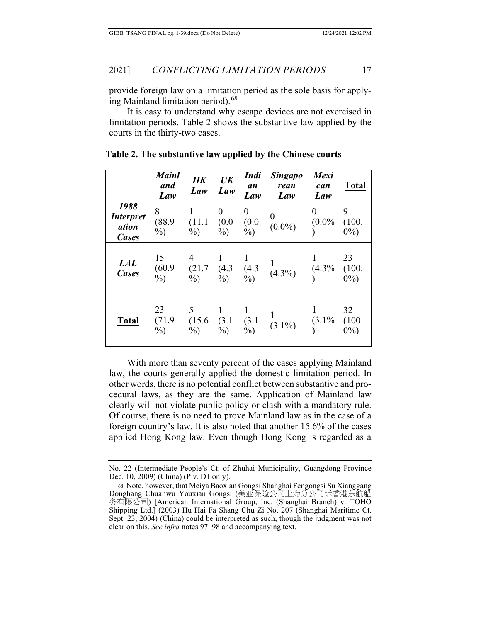provide foreign law on a limitation period as the sole basis for applying Mainland limitation period).<sup>68</sup>

It is easy to understand why escape devices are not exercised in limitation periods. Table 2 shows the substantive law applied by the courts in the thirty-two cases.

|                                                          | <b>Mainl</b><br>and<br>Law | HK<br>Law             | UK<br>Law                           | <b>Indi</b><br>an<br>Law | <b>Singapo</b><br>rean<br>Law | <b>Mexi</b><br>can<br>Law    | <b>Total</b>           |
|----------------------------------------------------------|----------------------------|-----------------------|-------------------------------------|--------------------------|-------------------------------|------------------------------|------------------------|
| 1988<br><i><b>Interpret</b></i><br>ation<br><b>Cases</b> | 8<br>(88.9)<br>$\%$        | (11.1)<br>$\%$ )      | $\boldsymbol{0}$<br>(0.0)<br>$\%$ ) | 0<br>(0.0)<br>$\%$ )     | $\overline{0}$<br>$(0.0\%)$   | $\boldsymbol{0}$<br>$(0.0\%$ | 9<br>(100.<br>$0\%$ )  |
| <b>LAL</b><br><b>Cases</b>                               | 15<br>(60.9)<br>$\%$ )     | 4<br>(21.7)<br>$\%$   | 1<br>(4.3)<br>$\%$ )                | (4.3)<br>$\%$ )          | $(4.3\%)$                     | (4.3%                        | 23<br>(100.<br>$0\%$   |
| <b>Total</b>                                             | 23<br>(71.9)<br>$\%$ )     | 5<br>(15.6)<br>$\%$ ) | 1<br>(3.1)<br>$\%$ )                | (3.1)<br>$\%$ )          | $(3.1\%)$                     | (3.1%                        | 32<br>(100.<br>$0\%$ ) |

**Table 2. The substantive law applied by the Chinese courts** 

With more than seventy percent of the cases applying Mainland law, the courts generally applied the domestic limitation period. In other words, there is no potential conflict between substantive and procedural laws, as they are the same. Application of Mainland law clearly will not violate public policy or clash with a mandatory rule. Of course, there is no need to prove Mainland law as in the case of a foreign country's law. It is also noted that another 15.6% of the cases applied Hong Kong law. Even though Hong Kong is regarded as a

No. 22 (Intermediate People's Ct. of Zhuhai Municipality, Guangdong Province Dec. 10, 2009) (China) (P v. D1 only).

<sup>68</sup> Note, however, that Meiya Baoxian Gongsi Shanghai Fengongsi Su Xianggang Donghang Chuanwu Youxian Gongsi (美亚保险公司上海分公司诉香港东航船 ≉㚱旸℔⎠) [American International Group, Inc. (Shanghai Branch) v. TOHO Shipping Ltd.] (2003) Hu Hai Fa Shang Chu Zi No. 207 (Shanghai Maritime Ct. Sept. 23, 2004) (China) could be interpreted as such, though the judgment was not clear on this. *See infra* notes 97–98 and accompanying text.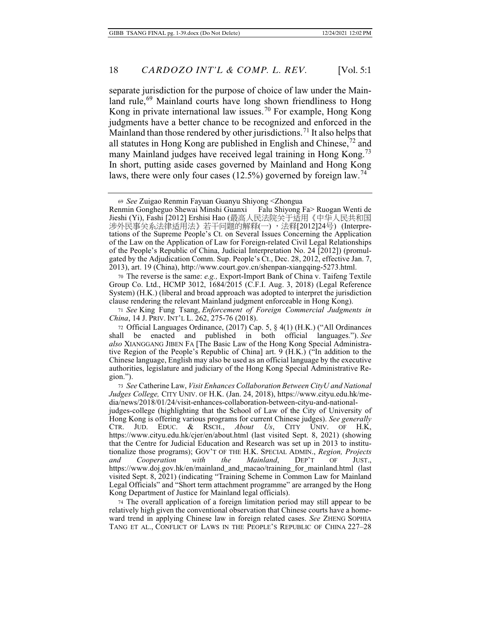separate jurisdiction for the purpose of choice of law under the Mainland rule,<sup>69</sup> Mainland courts have long shown friendliness to Hong Kong in private international law issues.<sup>70</sup> For example, Hong Kong judgments have a better chance to be recognized and enforced in the Mainland than those rendered by other jurisdictions.<sup>71</sup> It also helps that all statutes in Hong Kong are published in English and Chinese,72 and many Mainland judges have received legal training in Hong Kong.<sup>73</sup> In short, putting aside cases governed by Mainland and Hong Kong laws, there were only four cases  $(12.5\%)$  governed by foreign law.<sup>74</sup>

70 The reverse is the same: *e.g.,* Export-Import Bank of China v. Taifeng Textile Group Co. Ltd., HCMP 3012, 1684/2015 (C.F.I. Aug. 3, 2018) (Legal Reference System) (H.K.) (liberal and broad approach was adopted to interpret the jurisdiction clause rendering the relevant Mainland judgment enforceable in Hong Kong).

<sup>71</sup> *See* King Fung Tsang, *Enforcement of Foreign Commercial Judgments in China*, 14 J. PRIV. INT'L L. 262, 275-76 (2018).

72 Official Languages Ordinance,  $(2017)$  Cap. 5, § 4(1) (H.K.) ("All Ordinances all be enacted and published in both official languages."). See shall be enacted and published in both official languages."). *See also* XIANGGANG JIBEN FA [The Basic Law of the Hong Kong Special Administrative Region of the People's Republic of China] art. 9 (H.K.) ("In addition to the Chinese language, English may also be used as an official language by the executive authorities, legislature and judiciary of the Hong Kong Special Administrative Region.").

<sup>73</sup> *See* Catherine Law, *Visit Enhances Collaboration Between CityU and National Judges College,* CITY UNIV. OF H.K. (Jan. 24, 2018), https://www.cityu.edu.hk/media/news/2018/01/24/visit-enhances-collaboration-between-cityu-and-national-

judges-college (highlighting that the School of Law of the City of University of Hong Kong is offering various programs for current Chinese judges). *See generally*  CTR. JUD. EDUC. & RSCH., *About Us*, CITY UNIV. OF H.K, https://www.cityu.edu.hk/cjer/en/about.html (last visited Sept. 8, 2021) (showing that the Centre for Judicial Education and Research was set up in 2013 to institutionalize those programs); GOV'T OF THE H.K. SPECIAL ADMIN., *Region, Projects and Cooperation with the Mainland*, DEP'T OF JUST., https://www.doj.gov.hk/en/mainland\_and\_macao/training\_for\_mainland.html (last visited Sept. 8, 2021) (indicating "Training Scheme in Common Law for Mainland Legal Officials" and "Short term attachment programme" are arranged by the Hong Kong Department of Justice for Mainland legal officials).

74 The overall application of a foreign limitation period may still appear to be relatively high given the conventional observation that Chinese courts have a homeward trend in applying Chinese law in foreign related cases. *See* ZHENG SOPHIA TANG ET AL., CONFLICT OF LAWS IN THE PEOPLE'S REPUBLIC OF CHINA 227–28

<sup>69</sup> *See* Zuigao Renmin Fayuan Guanyu Shiyong <Zhongua Renmin Gongheguo Shewai Minshi Guanxi Jieshi (Yi), Fashi [2012] Ershisi Hao (最高人民法院关于适用《中华人民共和国 涉外民事关系法律适用法》若干问题的解释(一),法释[2012]24号) (Interpretations of the Supreme People's Ct. on Several Issues Concerning the Application of the Law on the Application of Law for Foreign-related Civil Legal Relationships of the People's Republic of China, Judicial Interpretation No. 24 [2012]) (promulgated by the Adjudication Comm. Sup. People's Ct., Dec. 28, 2012, effective Jan. 7, 2013), art. 19 (China), http://www.court.gov.cn/shenpan-xiangqing-5273.html.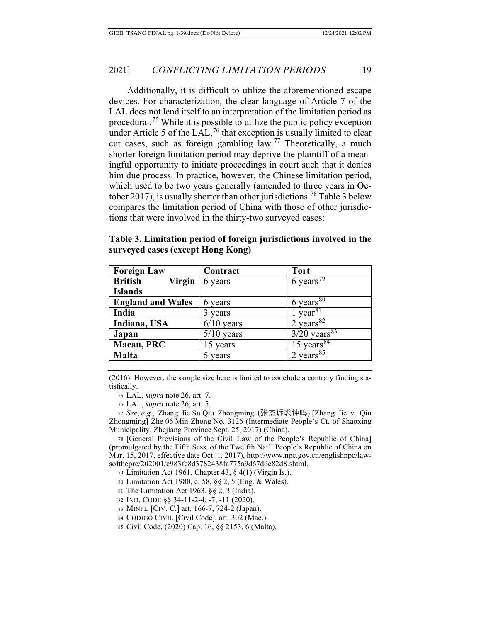Additionally, it is difficult to utilize the aforementioned escape devices. For characterization, the clear language of Article 7 of the LAL does not lend itself to an interpretation of the limitation period as procedural.<sup>75</sup> While it is possible to utilize the public policy exception under Article 5 of the  $LAL$ ,<sup>76</sup> that exception is usually limited to clear cut cases, such as foreign gambling  $law<sup>77</sup>$  Theoretically, a much shorter foreign limitation period may deprive the plaintiff of a meaningful opportunity to initiate proceedings in court such that it denies him due process. In practice, however, the Chinese limitation period, which used to be two years generally (amended to three years in October 2017), is usually shorter than other jurisdictions.<sup>78</sup> Table 3 below compares the limitation period of China with those of other jurisdictions that were involved in the thirty-two surveyed cases:

| <b>Foreign Law</b>              | Contract     | <b>Tort</b>                        |
|---------------------------------|--------------|------------------------------------|
| <b>British</b><br><b>Virgin</b> | 6 years      | 6 years <sup><math>79</math></sup> |
| <b>Islands</b>                  |              |                                    |
| <b>England and Wales</b>        | 6 years      | 6 years $80$                       |
| India                           | years        | year <sup>81</sup>                 |
| Indiana, USA                    | $6/10$ years | 2 years $82$                       |
| Japan                           | $5/10$ years | $3/20$ years <sup>83</sup>         |
| Macau, PRC                      | 15 years     | 15 years $84$                      |

**Table 3. Limitation period of foreign jurisdictions involved in the surveyed cases (except Hong Kong)**

(2016). However, the sample size here is limited to conclude a contrary finding statistically.

**Malta** 5 years 2 years<sup>85</sup>

75 LAL, *supra* note 26, art. 7.

76 LAL, *supra* note 26, art. 5.

<sup>77</sup> *See*, *e.g.*, Zhang Jie Su Qiu Zhongming (⼇㝗宰墿撆渊) [Zhang Jie v. Qiu Zhongming] Zhe 06 Min Zhong No. 3126 (Intermediate People's Ct. of Shaoxing Municipality, Zhejiang Province Sept. 25, 2017) (China).

78 [General Provisions of the Civil Law of the People's Republic of China] (promulgated by the Fifth Sess. of the Twelfth Nat'l People's Republic of China on Mar. 15, 2017, effective date Oct. 1, 2017), http://www.npc.gov.cn/englishnpc/lawsoftheprc/202001/c983fc8d3782438fa775a9d67d6e82d8.shtml.

79 Limitation Act 1961, Chapter 43, § 4(1) (Virgin Is.).

80 Limitation Act 1980, c. 58, §§ 2, 5 (Eng. & Wales).

81 The Limitation Act 1963, §§ 2, 3 (India).

<sup>82</sup> IND. CODE §§ 34-11-2-4, -7, -11 (2020).

83 MINPL **[**CIV. C.] art. 166-7, 724-2 (Japan).

<sup>84</sup> CÓDIGO CIVIL [Civil Code], art. 302 (Mac.).

85 Civil Code, (2020) Cap. 16, §§ 2153, 6 (Malta).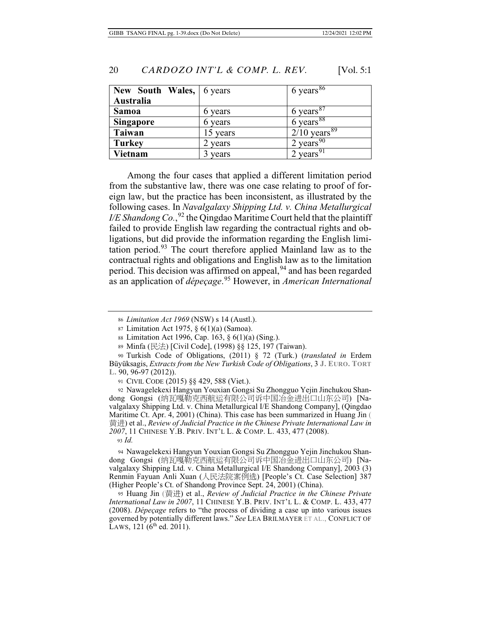| New South Wales,   6 years |          | $6 \overline{\text{ years}}^{86}$ |
|----------------------------|----------|-----------------------------------|
| Australia                  |          |                                   |
| <b>Samoa</b>               | 6 years  | 6 years $87$                      |
| <b>Singapore</b>           | 6 years  | $6$ years <sup>88</sup>           |
| <b>Taiwan</b>              | 15 years | $2/10$ years <sup>89</sup>        |
| <b>Turkey</b>              | 2 years  | 2 years $\overline{90}$           |
| Vietnam                    | years    | 2 years <sup>91</sup>             |

Among the four cases that applied a different limitation period from the substantive law, there was one case relating to proof of foreign law, but the practice has been inconsistent, as illustrated by the following cases. In *Navalgalaxy Shipping Ltd. v. China Metallurgical*  I/E Shandong Co.,<sup>92</sup> the Qingdao Maritime Court held that the plaintiff failed to provide English law regarding the contractual rights and obligations, but did provide the information regarding the English limitation period.93 The court therefore applied Mainland law as to the contractual rights and obligations and English law as to the limitation period. This decision was affirmed on appeal,<sup>94</sup> and has been regarded as an application of *dépeçage*. 95 However, in *American International* 

<sup>86</sup> *Limitation Act 1969* (NSW) s 14 (Austl.).

87 Limitation Act 1975, § 6(1)(a) (Samoa).

88 Limitation Act 1996, Cap. 163, § 6(1)(a) (Sing.).

89 Minfa (㮹㱽) [Civil Code], (1998) §§ 125, 197 (Taiwan).

90 Turkish Code of Obligations, (2011) § 72 (Turk.) (*translated in* Erdem Büyüksagis, *Extracts from the New Turkish Code of Obligations*, 3 **J. EURO. TORT L.** 90, 96-97 (2012)).

91 CIVIL CODE (2015) §§ 429, 588 (Viet.).

92 Nawagelekexi Hangyun Youxian Gongsi Su Zhongguo Yejin Jinchukou Shandong Gongsi (纳瓦嘎勒克西航运有限公司诉中国冶金进出口山东公司) [Navalgalaxy Shipping Ltd. v. China Metallurgical I/E Shandong Company], (Qingdao Maritime Ct. Apr. 4, 2001) (China). This case has been summarized in Huang Jin ( 湬徃) et al., *Review of Judicial Practice in the Chinese Private International Law in 2007*, 11 CHINESE Y.B. PRIV. INT'L L. & COMP. L. 433, 477 (2008).

<sup>93</sup>*Id.* 

94 Nawagelekexi Hangyun Youxian Gongsi Su Zhongguo Yejin Jinchukou Shandong Gongsi (纳瓦嘎勒克西航运有限公司诉中国冶金进出口山东公司) [Navalgalaxy Shipping Ltd. v. China Metallurgical I/E Shandong Company], 2003 (3) Renmin Fayuan Anli Xuan (人民法院案例选) [People's Ct. Case Selection] 387 (Higher People's Ct. of Shandong Province Sept. 24, 2001) (China).

95 Huang Jin (湬徃) et al., *Review of Judicial Practice in the Chinese Private International Law in 2007*, 11 CHINESE Y.B. PRIV. INT'L L. & COMP. L. 433, 477 (2008). *Dépeçage* refers to "the process of dividing a case up into various issues governed by potentially different laws." *See* LEA BRILMAYER ET AL., CONFLICT OF LAWS, 121 ( $6<sup>th</sup>$  ed. 2011).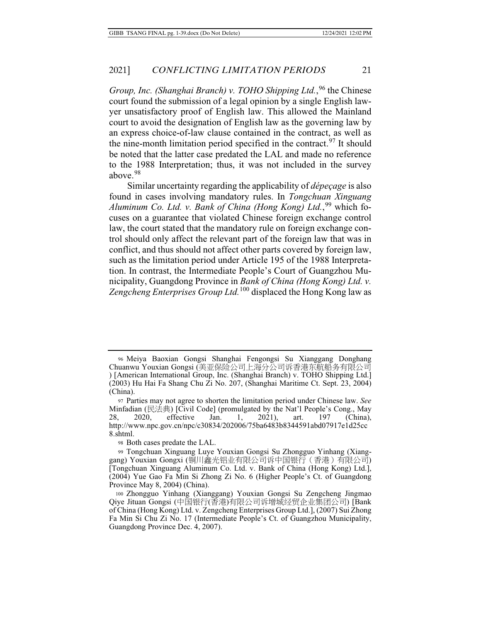### 2021] *CONFLICTING LIMITATION PERIODS* 21

*Group, Inc. (Shanghai Branch) v. TOHO Shipping Ltd.*, 96 the Chinese court found the submission of a legal opinion by a single English lawyer unsatisfactory proof of English law. This allowed the Mainland court to avoid the designation of English law as the governing law by an express choice-of-law clause contained in the contract, as well as the nine-month limitation period specified in the contract.<sup>97</sup> It should be noted that the latter case predated the LAL and made no reference to the 1988 Interpretation; thus, it was not included in the survey above.<sup>98</sup>

Similar uncertainty regarding the applicability of *dépeçage* is also found in cases involving mandatory rules. In *Tongchuan Xinguang*  Aluminum Co. Ltd. v. Bank of China (Hong Kong) Ltd.,<sup>99</sup> which focuses on a guarantee that violated Chinese foreign exchange control law, the court stated that the mandatory rule on foreign exchange control should only affect the relevant part of the foreign law that was in conflict, and thus should not affect other parts covered by foreign law, such as the limitation period under Article 195 of the 1988 Interpretation. In contrast, the Intermediate People's Court of Guangzhou Municipality, Guangdong Province in *Bank of China (Hong Kong) Ltd. v. Zengcheng Enterprises Group Ltd.*100 displaced the Hong Kong law as

<sup>96</sup> Meiya Baoxian Gongsi Shanghai Fengongsi Su Xianggang Donghang Chuanwu Youxian Gongsi (美亚保险公司上海分公司诉香港东航船务有限公司 ) [American International Group, Inc. (Shanghai Branch) v. TOHO Shipping Ltd.] (2003) Hu Hai Fa Shang Chu Zi No. 207, (Shanghai Maritime Ct. Sept. 23, 2004) (China).

<sup>97</sup> Parties may not agree to shorten the limitation period under Chinese law. *See* Minfadian (民法典) [Civil Code] (promulgated by the Nat'l People's Cong., May 28, 2020, effective Jan. 1, 2021), art. 197 (China), http://www.npc.gov.cn/npc/c30834/202006/75ba6483b8344591abd07917e1d25cc 8.shtml.

<sup>98</sup> Both cases predate the LAL.

<sup>99</sup> Tongchuan Xinguang Luye Youxian Gongsi Su Zhongguo Yinhang (Xianggang) Youxian Gongxi (铜川鑫光铝业有限公司诉中国银行(香港)有限公司) [Tongchuan Xinguang Aluminum Co. Ltd. v. Bank of China (Hong Kong) Ltd.], (2004) Yue Gao Fa Min Si Zhong Zi No. 6 (Higher People's Ct. of Guangdong Province May 8, 2004) (China).

<sup>100</sup> Zhongguo Yinhang (Xianggang) Youxian Gongsi Su Zengcheng Jingmao Qiye Jituan Gongsi (中国银行(香港)有限公司诉增城经贸企业集团公司) [Bank of China (Hong Kong) Ltd. v. Zengcheng Enterprises Group Ltd.], (2007) Sui Zhong Fa Min Si Chu Zi No. 17 (Intermediate People's Ct. of Guangzhou Municipality, Guangdong Province Dec. 4, 2007).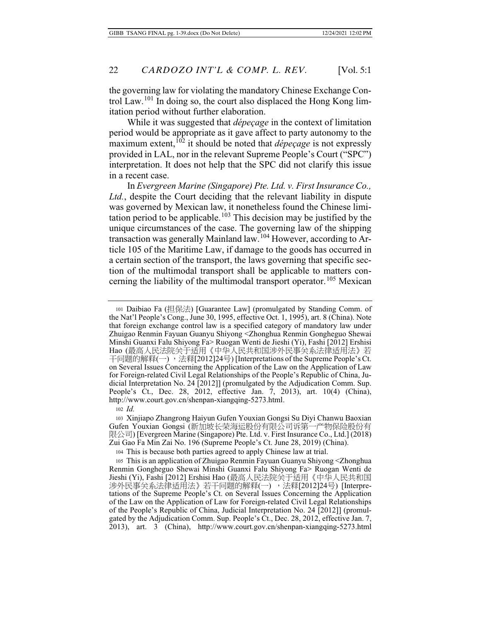the governing law for violating the mandatory Chinese Exchange Control Law.<sup>101</sup> In doing so, the court also displaced the Hong Kong limitation period without further elaboration.

While it was suggested that *dépeçage* in the context of limitation period would be appropriate as it gave affect to party autonomy to the maximum extent,  $102$  it should be noted that *dépeçage* is not expressly provided in LAL, nor in the relevant Supreme People's Court ("SPC") interpretation. It does not help that the SPC did not clarify this issue in a recent case.

In *Evergreen Marine (Singapore) Pte. Ltd. v. First Insurance Co., Ltd.*, despite the Court deciding that the relevant liability in dispute was governed by Mexican law, it nonetheless found the Chinese limitation period to be applicable.<sup>103</sup> This decision may be justified by the unique circumstances of the case. The governing law of the shipping transaction was generally Mainland law.104 However, according to Article 105 of the Maritime Law, if damage to the goods has occurred in a certain section of the transport, the laws governing that specific section of the multimodal transport shall be applicable to matters concerning the liability of the multimodal transport operator.<sup>105</sup> Mexican

101 Daibiao Fa (担保法) [Guarantee Law] (promulgated by Standing Comm. of the Nat'l People's Cong., June 30, 1995, effective Oct. 1, 1995), art. 8 (China). Note that foreign exchange control law is a specified category of mandatory law under Zhuigao Renmin Fayuan Guanyu Shiyong <Zhonghua Renmin Gongheguo Shewai Minshi Guanxi Falu Shiyong Fa> Ruogan Wenti de Jieshi (Yi), Fashi [2012] Ershisi Hao (最高人民法院关于适用《中华人民共和国涉外民事关系法律适用法》若 干问题的解释(一), 法释[2012]24号) [Interpretations of the Supreme People's Ct. on Several Issues Concerning the Application of the Law on the Application of Law for Foreign-related Civil Legal Relationships of the People's Republic of China, Judicial Interpretation No. 24 [2012]] (promulgated by the Adjudication Comm. Sup. People's Ct., Dec. 28, 2012, effective Jan. 7, 2013), art. 10(4) (China), http://www.court.gov.cn/shenpan-xiangqing-5273.html.

<sup>102</sup> *Id.*

<sup>103</sup> Xinjiapo Zhangrong Haiyun Gufen Youxian Gongsi Su Diyi Chanwu Baoxian Gufen Youxian Gongsi (新加坡长荣海运股份有限公司诉第一产物保险股份有 限公司) [Evergreen Marine (Singapore) Pte. Ltd. v. First Insurance Co., Ltd.] (2018) Zui Gao Fa Min Zai No. 196 (Supreme People's Ct. June 28, 2019) (China).

<sup>104</sup> This is because both parties agreed to apply Chinese law at trial.

<sup>105</sup> This is an application of Zhuigao Renmin Fayuan Guanyu Shiyong <Zhonghua Renmin Gongheguo Shewai Minshi Guanxi Falu Shiyong Fa> Ruogan Wenti de Jieshi (Yi), Fashi [2012] Ershisi Hao (最高人民法院关于适用《中华人民共和国 涉外民事关系法律适用法》若干问题的解释(一) ,法释[2012]24号) [Interpretations of the Supreme People's Ct. on Several Issues Concerning the Application of the Law on the Application of Law for Foreign-related Civil Legal Relationships of the People's Republic of China, Judicial Interpretation No. 24 [2012]] (promulgated by the Adjudication Comm. Sup. People's Ct., Dec. 28, 2012, effective Jan. 7, 2013), art. 3 (China), http://www.court.gov.cn/shenpan-xiangqing-5273.html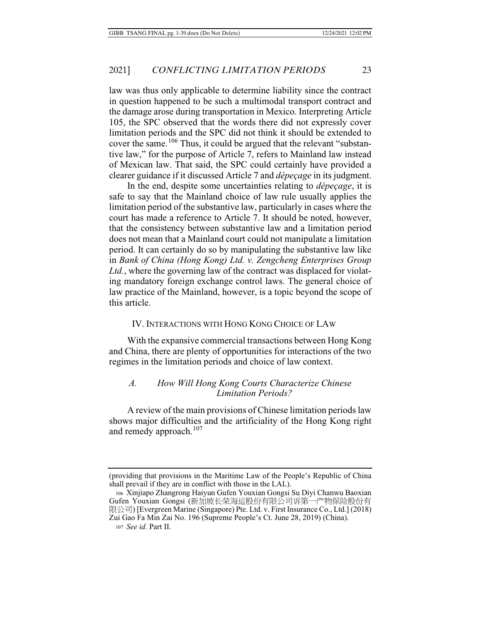law was thus only applicable to determine liability since the contract in question happened to be such a multimodal transport contract and the damage arose during transportation in Mexico. Interpreting Article 105, the SPC observed that the words there did not expressly cover limitation periods and the SPC did not think it should be extended to cover the same.<sup>106</sup> Thus, it could be argued that the relevant "substantive law," for the purpose of Article 7, refers to Mainland law instead of Mexican law. That said, the SPC could certainly have provided a clearer guidance if it discussed Article 7 and *dépeçage* in its judgment.

In the end, despite some uncertainties relating to *dépeçage*, it is safe to say that the Mainland choice of law rule usually applies the limitation period of the substantive law, particularly in cases where the court has made a reference to Article 7. It should be noted, however, that the consistency between substantive law and a limitation period does not mean that a Mainland court could not manipulate a limitation period. It can certainly do so by manipulating the substantive law like in *Bank of China (Hong Kong) Ltd. v. Zengcheng Enterprises Group Ltd.*, where the governing law of the contract was displaced for violating mandatory foreign exchange control laws. The general choice of law practice of the Mainland, however, is a topic beyond the scope of this article.

#### IV. INTERACTIONS WITH HONG KONG CHOICE OF LAW

With the expansive commercial transactions between Hong Kong and China, there are plenty of opportunities for interactions of the two regimes in the limitation periods and choice of law context.

#### *A. How Will Hong Kong Courts Characterize Chinese Limitation Periods?*

A review of the main provisions of Chinese limitation periods law shows major difficulties and the artificiality of the Hong Kong right and remedy approach.<sup>107</sup>

<sup>(</sup>providing that provisions in the Maritime Law of the People's Republic of China shall prevail if they are in conflict with those in the LAL).

<sup>106</sup> Xinjiapo Zhangrong Haiyun Gufen Youxian Gongsi Su Diyi Chanwu Baoxian Gufen Youxian Gongsi (新加坡长荣海运股份有限公司诉第一产物保险股份有 限公司) [Evergreen Marine (Singapore) Pte. Ltd. v. First Insurance Co., Ltd.] (2018) Zui Gao Fa Min Zai No. 196 (Supreme People's Ct. June 28, 2019) (China). 107 *See id.* Part II.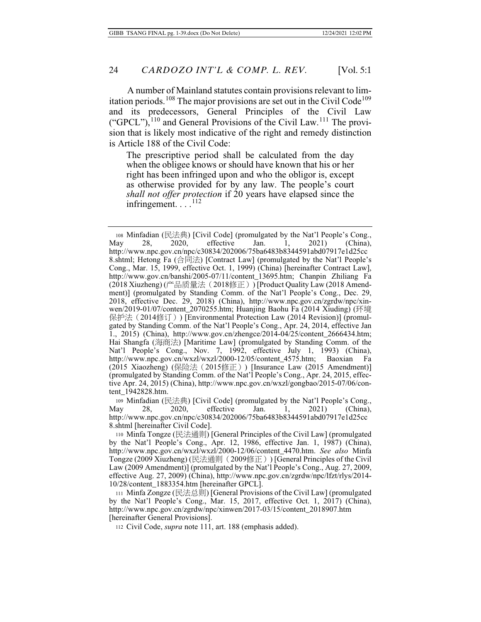A number of Mainland statutes contain provisions relevant to limitation periods.<sup>108</sup> The major provisions are set out in the Civil Code<sup>109</sup> and its predecessors, General Principles of the Civil Law ("GPCL"), $^{110}$  and General Provisions of the Civil Law.<sup>111</sup> The provision that is likely most indicative of the right and remedy distinction is Article 188 of the Civil Code:

The prescriptive period shall be calculated from the day when the obligee knows or should have known that his or her right has been infringed upon and who the obligor is, except as otherwise provided for by any law. The people's court *shall not offer protection* if 20 years have elapsed since the infringement.  $\ldots$ .<sup>112</sup>

108 Minfadian (民法典) [Civil Code] (promulgated by the Nat'l People's Cong., May 28, 2020, effective Jan. 1, 2021) (China), http://www.npc.gov.cn/npc/c30834/202006/75ba6483b8344591abd07917e1d25cc 8.shtml; Hetong Fa (合同法) [Contract Law] (promulgated by the Nat'l People's Cong., Mar. 15, 1999, effective Oct. 1, 1999) (China) [hereinafter Contract Law], http://www.gov.cn/banshi/2005-07/11/content\_13695.htm; Chanpin Zhiliang Fa (2018 Xiuzheng) (产品质量法 (2018修正)) [Product Quality Law (2018 Amendment)] (promulgated by Standing Comm. of the Nat'l People's Cong., Dec. 29, 2018, effective Dec. 29, 2018) (China), http://www.npc.gov.cn/zgrdw/npc/xinwen/2019-01/07/content\_2070255.htm; Huanjing Baohu Fa (2014 Xiuding) (环境 ᾅ㉌㱽炷2014ᾖ孊炸) [Environmental Protection Law (2014 Revision)] (promulgated by Standing Comm. of the Nat'l People's Cong., Apr. 24, 2014, effective Jan 1., 2015) (China), http://www.gov.cn/zhengce/2014-04/25/content\_2666434.htm; Hai Shangfa (海商法) [Maritime Law] (promulgated by Standing Comm. of the Nat'l People's Cong., Nov. 7, 1992, effective July 1, 1993) (China), http://www.npc.gov.cn/wxzl/wxzl/2000-12/05/content 4575.htm; Baoxian Fa http://www.npc.gov.cn/wxzl/wxzl/2000-12/05/content\_4575.htm; Baoxian Fa (2015 Xiaozheng) (保险法 (2015修正)) [Insurance Law (2015 Amendment)] (promulgated by Standing Comm. of the Nat'l People's Cong., Apr. 24, 2015, effective Apr. 24, 2015) (China), http://www.npc.gov.cn/wxzl/gongbao/2015-07/06/content\_1942828.htm.

109 Minfadian (民法典) [Civil Code] (promulgated by the Nat'l People's Cong., May 28, 2020, effective Jan. 1, 2021) (China), http://www.npc.gov.cn/npc/c30834/202006/75ba6483b8344591abd07917e1d25cc 8.shtml [hereinafter Civil Code].

110 Minfa Tongze (民法通则) [General Principles of the Civil Law] (promulgated by the Nat'l People's Cong., Apr. 12, 1986, effective Jan. 1, 1987) (China), http://www.npc.gov.cn/wxzl/wxzl/2000-12/06/content\_4470.htm. *See also* Minfa Tongze (2009 Xiuzheng) (民法通则 (2009修正)) [General Principles of the Civil Law (2009 Amendment)] (promulgated by the Nat'l People's Cong., Aug. 27, 2009, effective Aug. 27, 2009) (China), http://www.npc.gov.cn/zgrdw/npc/lfzt/rlys/2014- 10/28/content\_1883354.htm [hereinafter GPCL].

111 Minfa Zongze (㮹㱽⇁) [General Provisions of the Civil Law] (promulgated by the Nat'l People's Cong., Mar. 15, 2017, effective Oct. 1, 2017) (China), http://www.npc.gov.cn/zgrdw/npc/xinwen/2017-03/15/content\_2018907.htm [hereinafter General Provisions].

112 Civil Code, *supra* note 111, art. 188 (emphasis added).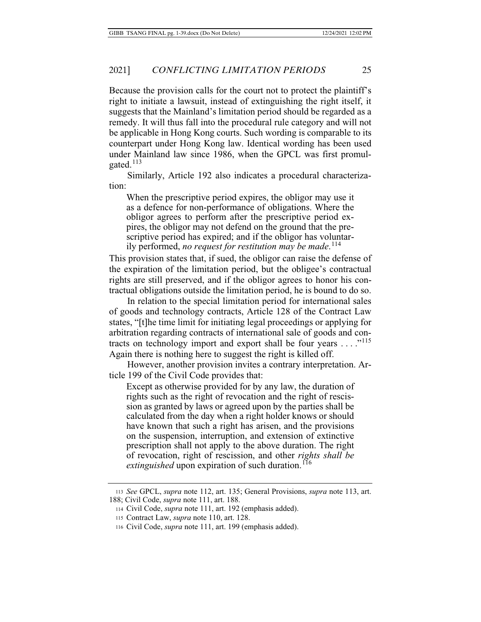Because the provision calls for the court not to protect the plaintiff's right to initiate a lawsuit, instead of extinguishing the right itself, it suggests that the Mainland's limitation period should be regarded as a remedy. It will thus fall into the procedural rule category and will not be applicable in Hong Kong courts. Such wording is comparable to its counterpart under Hong Kong law. Identical wording has been used under Mainland law since 1986, when the GPCL was first promulgated.<sup>113</sup>

Similarly, Article 192 also indicates a procedural characterization:

When the prescriptive period expires, the obligor may use it as a defence for non-performance of obligations. Where the obligor agrees to perform after the prescriptive period expires, the obligor may not defend on the ground that the prescriptive period has expired; and if the obligor has voluntarily performed, *no request for restitution may be made*. 114

This provision states that, if sued, the obligor can raise the defense of the expiration of the limitation period, but the obligee's contractual rights are still preserved, and if the obligor agrees to honor his contractual obligations outside the limitation period, he is bound to do so.

In relation to the special limitation period for international sales of goods and technology contracts, Article 128 of the Contract Law states, "[t]he time limit for initiating legal proceedings or applying for arbitration regarding contracts of international sale of goods and contracts on technology import and export shall be four years . . . ."<sup>115</sup> Again there is nothing here to suggest the right is killed off.

However, another provision invites a contrary interpretation. Article 199 of the Civil Code provides that:

Except as otherwise provided for by any law, the duration of rights such as the right of revocation and the right of rescission as granted by laws or agreed upon by the parties shall be calculated from the day when a right holder knows or should have known that such a right has arisen, and the provisions on the suspension, interruption, and extension of extinctive prescription shall not apply to the above duration. The right of revocation, right of rescission, and other *rights shall be*  extinguished upon expiration of such duration.<sup>116</sup>

<sup>113</sup> *See* GPCL, *supra* note 112, art. 135; General Provisions, *supra* note 113, art. 188; Civil Code, *supra* note 111, art. 188.

<sup>114</sup> Civil Code, *supra* note 111, art. 192 (emphasis added).

<sup>115</sup> Contract Law, *supra* note 110, art. 128.

<sup>116</sup> Civil Code, *supra* note 111, art. 199 (emphasis added).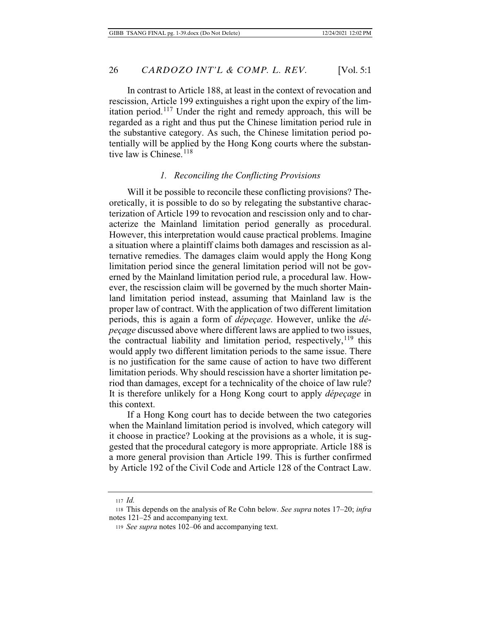In contrast to Article 188, at least in the context of revocation and rescission, Article 199 extinguishes a right upon the expiry of the limitation period.117 Under the right and remedy approach, this will be regarded as a right and thus put the Chinese limitation period rule in the substantive category. As such, the Chinese limitation period potentially will be applied by the Hong Kong courts where the substantive law is Chinese.<sup>118</sup>

### *1. Reconciling the Conflicting Provisions*

Will it be possible to reconcile these conflicting provisions? Theoretically, it is possible to do so by relegating the substantive characterization of Article 199 to revocation and rescission only and to characterize the Mainland limitation period generally as procedural. However, this interpretation would cause practical problems. Imagine a situation where a plaintiff claims both damages and rescission as alternative remedies. The damages claim would apply the Hong Kong limitation period since the general limitation period will not be governed by the Mainland limitation period rule, a procedural law. However, the rescission claim will be governed by the much shorter Mainland limitation period instead, assuming that Mainland law is the proper law of contract. With the application of two different limitation periods, this is again a form of *dépeçage*. However, unlike the *dépeçage* discussed above where different laws are applied to two issues, the contractual liability and limitation period, respectively,<sup>119</sup> this would apply two different limitation periods to the same issue. There is no justification for the same cause of action to have two different limitation periods. Why should rescission have a shorter limitation period than damages, except for a technicality of the choice of law rule? It is therefore unlikely for a Hong Kong court to apply *dépeçage* in this context.

If a Hong Kong court has to decide between the two categories when the Mainland limitation period is involved, which category will it choose in practice? Looking at the provisions as a whole, it is suggested that the procedural category is more appropriate. Article 188 is a more general provision than Article 199. This is further confirmed by Article 192 of the Civil Code and Article 128 of the Contract Law.

<sup>117</sup> *Id.*

<sup>118</sup> This depends on the analysis of Re Cohn below. *See supra* notes 17–20; *infra* notes 121–25 and accompanying text.

<sup>119</sup> *See supra* notes 102–06 and accompanying text.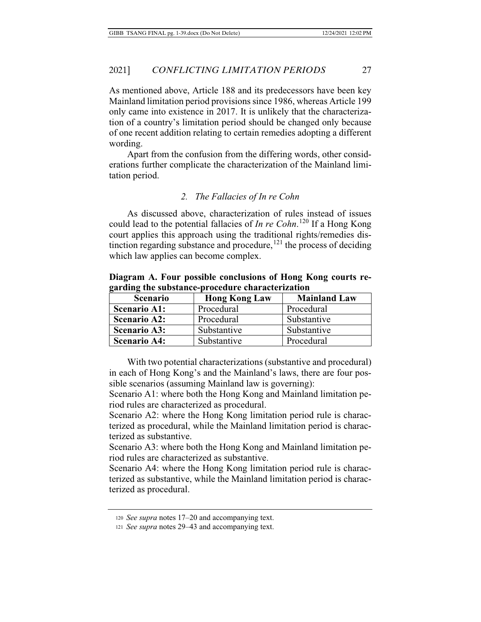As mentioned above, Article 188 and its predecessors have been key Mainland limitation period provisions since 1986, whereas Article 199 only came into existence in 2017. It is unlikely that the characterization of a country's limitation period should be changed only because of one recent addition relating to certain remedies adopting a different wording.

Apart from the confusion from the differing words, other considerations further complicate the characterization of the Mainland limitation period.

### *2. The Fallacies of In re Cohn*

As discussed above, characterization of rules instead of issues could lead to the potential fallacies of *In re Cohn*. 120 If a Hong Kong court applies this approach using the traditional rights/remedies distinction regarding substance and procedure,  $^{121}$  the process of deciding which law applies can become complex.

**Diagram A. Four possible conclusions of Hong Kong courts regarding the substance-procedure characterization**

| <b>Scenario</b>     | <b>Hong Kong Law</b> | <b>Mainland Law</b> |
|---------------------|----------------------|---------------------|
| <b>Scenario A1:</b> | Procedural           | Procedural          |
| <b>Scenario A2:</b> | Procedural           | Substantive         |
| <b>Scenario A3:</b> | Substantive          | Substantive         |
| <b>Scenario A4:</b> | Substantive          | Procedural          |

With two potential characterizations (substantive and procedural) in each of Hong Kong's and the Mainland's laws, there are four possible scenarios (assuming Mainland law is governing):

Scenario A1: where both the Hong Kong and Mainland limitation period rules are characterized as procedural.

Scenario A2: where the Hong Kong limitation period rule is characterized as procedural, while the Mainland limitation period is characterized as substantive.

Scenario A3: where both the Hong Kong and Mainland limitation period rules are characterized as substantive.

Scenario A4: where the Hong Kong limitation period rule is characterized as substantive, while the Mainland limitation period is characterized as procedural.

<sup>120</sup> *See supra* notes 17–20 and accompanying text.

<sup>121</sup> *See supra* notes 29–43 and accompanying text.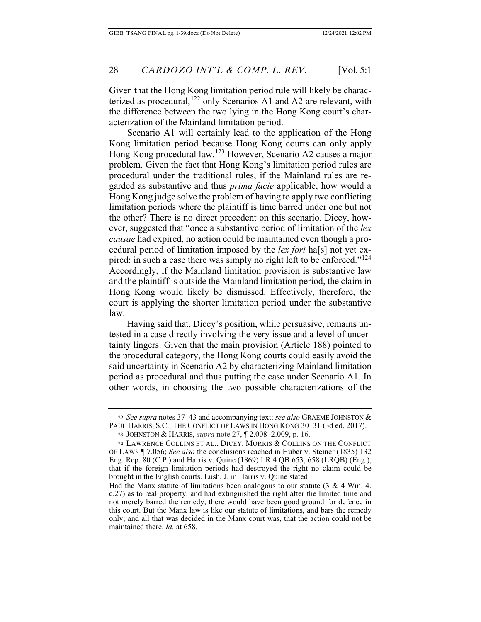Given that the Hong Kong limitation period rule will likely be characterized as procedural,<sup>122</sup> only Scenarios A1 and A2 are relevant, with the difference between the two lying in the Hong Kong court's characterization of the Mainland limitation period.

Scenario A1 will certainly lead to the application of the Hong Kong limitation period because Hong Kong courts can only apply Hong Kong procedural law.123 However, Scenario A2 causes a major problem. Given the fact that Hong Kong's limitation period rules are procedural under the traditional rules, if the Mainland rules are regarded as substantive and thus *prima facie* applicable, how would a Hong Kong judge solve the problem of having to apply two conflicting limitation periods where the plaintiff is time barred under one but not the other? There is no direct precedent on this scenario. Dicey, however, suggested that "once a substantive period of limitation of the *lex causae* had expired, no action could be maintained even though a procedural period of limitation imposed by the *lex fori* ha[s] not yet expired: in such a case there was simply no right left to be enforced." $124$ Accordingly, if the Mainland limitation provision is substantive law and the plaintiff is outside the Mainland limitation period, the claim in Hong Kong would likely be dismissed. Effectively, therefore, the court is applying the shorter limitation period under the substantive law.

Having said that, Dicey's position, while persuasive, remains untested in a case directly involving the very issue and a level of uncertainty lingers. Given that the main provision (Article 188) pointed to the procedural category, the Hong Kong courts could easily avoid the said uncertainty in Scenario A2 by characterizing Mainland limitation period as procedural and thus putting the case under Scenario A1. In other words, in choosing the two possible characterizations of the

<sup>122</sup> *See supra* notes 37–43 and accompanying text; *see also* GRAEME JOHNSTON & PAUL HARRIS, S.C., THE CONFLICT OF LAWS IN HONG KONG 30–31 (3d ed. 2017).

<sup>123</sup> JOHNSTON & HARRIS, *supra* note 27, ¶ 2.008–2.009, p. 16.

<sup>124</sup> LAWRENCE COLLINS ET AL., DICEY, MORRIS & COLLINS ON THE CONFLICT OF LAWS ¶ 7.056; *See also* the conclusions reached in Huber v. Steiner (1835) 132 Eng. Rep. 80 (C.P.) and Harris v. Quine (1869) LR 4 QB 653, 658 (LRQB) (Eng.), that if the foreign limitation periods had destroyed the right no claim could be brought in the English courts. Lush, J. in Harris v. Quine stated:

Had the Manx statute of limitations been analogous to our statute  $(3 \& 4 Wm. 4$ . c.27) as to real property, and had extinguished the right after the limited time and not merely barred the remedy, there would have been good ground for defence in this court. But the Manx law is like our statute of limitations, and bars the remedy only; and all that was decided in the Manx court was, that the action could not be maintained there. *Id.* at 658.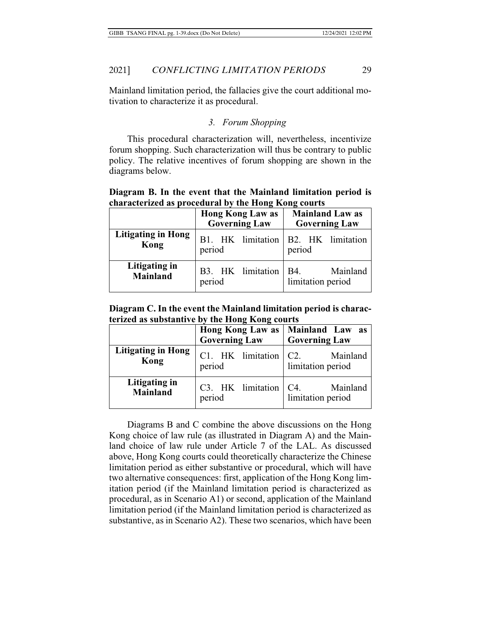Mainland limitation period, the fallacies give the court additional motivation to characterize it as procedural.

### *3. Forum Shopping*

This procedural characterization will, nevertheless, incentivize forum shopping. Such characterization will thus be contrary to public policy. The relative incentives of forum shopping are shown in the diagrams below.

### **Diagram B. In the event that the Mainland limitation period is characterized as procedural by the Hong Kong courts**

|                                   | <b>Hong Kong Law as</b><br><b>Governing Law</b> | <b>Mainland Law as</b><br><b>Governing Law</b> |  |
|-----------------------------------|-------------------------------------------------|------------------------------------------------|--|
| <b>Litigating in Hong</b><br>Kong | period                                          | B1. HK limitation B2. HK limitation<br>period  |  |
| Litigating in<br><b>Mainland</b>  | B3. HK limitation<br>period                     | Mainland<br>B4.<br>limitation period           |  |

**Diagram C. In the event the Mainland limitation period is characterized as substantive by the Hong Kong courts**

| $\frac{1}{2}$ and $\frac{1}{2}$ and $\frac{1}{2}$ and $\frac{1}{2}$ and $\frac{1}{2}$ and $\frac{1}{2}$ and $\frac{1}{2}$ |                                 |                                                            |  |
|---------------------------------------------------------------------------------------------------------------------------|---------------------------------|------------------------------------------------------------|--|
|                                                                                                                           | <b>Governing Law</b>            | Hong Kong Law as   Mainland Law as<br><b>Governing Law</b> |  |
| <b>Litigating in Hong</b>                                                                                                 | C1. HK limitation $\vert$ C2.   | Mainland                                                   |  |
| Kong                                                                                                                      | period                          | limitation period                                          |  |
| Litigating in                                                                                                             | $C3.$ HK limitation $\vert C4.$ | Mainland                                                   |  |
| <b>Mainland</b>                                                                                                           | period                          | limitation period                                          |  |

Diagrams B and C combine the above discussions on the Hong Kong choice of law rule (as illustrated in Diagram A) and the Mainland choice of law rule under Article 7 of the LAL. As discussed above, Hong Kong courts could theoretically characterize the Chinese limitation period as either substantive or procedural, which will have two alternative consequences: first, application of the Hong Kong limitation period (if the Mainland limitation period is characterized as procedural, as in Scenario A1) or second, application of the Mainland limitation period (if the Mainland limitation period is characterized as substantive, as in Scenario A2). These two scenarios, which have been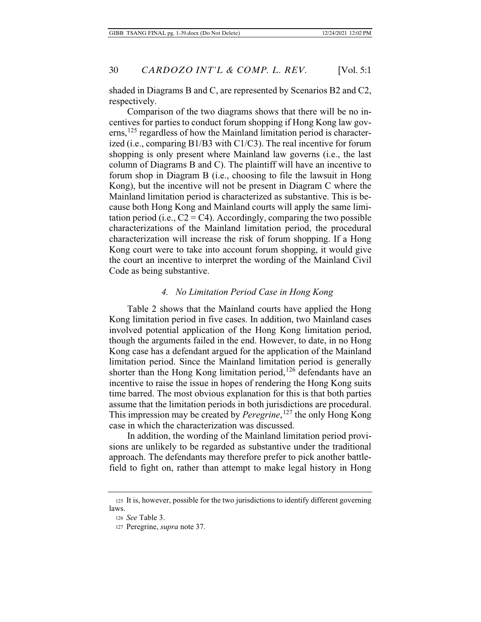shaded in Diagrams B and C, are represented by Scenarios B2 and C2, respectively.

Comparison of the two diagrams shows that there will be no incentives for parties to conduct forum shopping if Hong Kong law governs,<sup>125</sup> regardless of how the Mainland limitation period is characterized (i.e., comparing B1/B3 with C1/C3). The real incentive for forum shopping is only present where Mainland law governs (i.e., the last column of Diagrams B and C). The plaintiff will have an incentive to forum shop in Diagram B (i.e., choosing to file the lawsuit in Hong Kong), but the incentive will not be present in Diagram C where the Mainland limitation period is characterized as substantive. This is because both Hong Kong and Mainland courts will apply the same limitation period (i.e.,  $C2 = C4$ ). Accordingly, comparing the two possible characterizations of the Mainland limitation period, the procedural characterization will increase the risk of forum shopping. If a Hong Kong court were to take into account forum shopping, it would give the court an incentive to interpret the wording of the Mainland Civil Code as being substantive.

### *4. No Limitation Period Case in Hong Kong*

Table 2 shows that the Mainland courts have applied the Hong Kong limitation period in five cases. In addition, two Mainland cases involved potential application of the Hong Kong limitation period, though the arguments failed in the end. However, to date, in no Hong Kong case has a defendant argued for the application of the Mainland limitation period. Since the Mainland limitation period is generally shorter than the Hong Kong limitation period,<sup>126</sup> defendants have an incentive to raise the issue in hopes of rendering the Hong Kong suits time barred. The most obvious explanation for this is that both parties assume that the limitation periods in both jurisdictions are procedural. This impression may be created by *Peregrine*, 127 the only Hong Kong case in which the characterization was discussed.

In addition, the wording of the Mainland limitation period provisions are unlikely to be regarded as substantive under the traditional approach. The defendants may therefore prefer to pick another battlefield to fight on, rather than attempt to make legal history in Hong

<sup>125</sup> It is, however, possible for the two jurisdictions to identify different governing laws.

<sup>126</sup> *See* Table 3.

<sup>127</sup> Peregrine, *supra* note 37.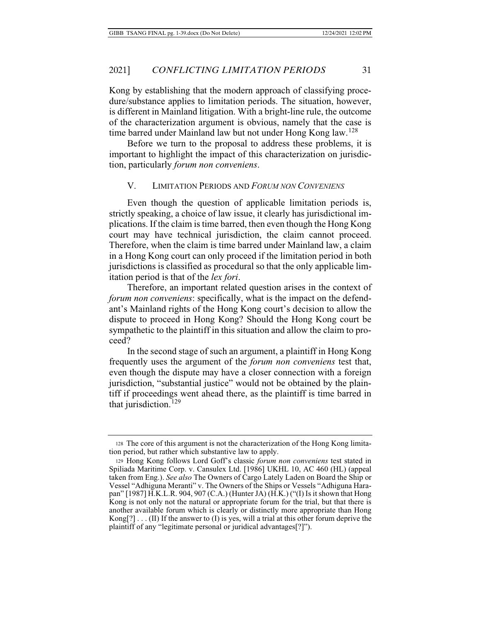Kong by establishing that the modern approach of classifying procedure/substance applies to limitation periods. The situation, however, is different in Mainland litigation. With a bright-line rule, the outcome of the characterization argument is obvious, namely that the case is time barred under Mainland law but not under Hong Kong law.<sup>128</sup>

Before we turn to the proposal to address these problems, it is important to highlight the impact of this characterization on jurisdiction, particularly *forum non conveniens*.

#### V. LIMITATION PERIODS AND *FORUM NON CONVENIENS*

Even though the question of applicable limitation periods is, strictly speaking, a choice of law issue, it clearly has jurisdictional implications. If the claim is time barred, then even though the Hong Kong court may have technical jurisdiction, the claim cannot proceed. Therefore, when the claim is time barred under Mainland law, a claim in a Hong Kong court can only proceed if the limitation period in both jurisdictions is classified as procedural so that the only applicable limitation period is that of the *lex fori*.

Therefore, an important related question arises in the context of *forum non conveniens*: specifically, what is the impact on the defendant's Mainland rights of the Hong Kong court's decision to allow the dispute to proceed in Hong Kong? Should the Hong Kong court be sympathetic to the plaintiff in this situation and allow the claim to proceed?

In the second stage of such an argument, a plaintiff in Hong Kong frequently uses the argument of the *forum non conveniens* test that, even though the dispute may have a closer connection with a foreign jurisdiction, "substantial justice" would not be obtained by the plaintiff if proceedings went ahead there, as the plaintiff is time barred in that jurisdiction.<sup>129</sup>

<sup>128</sup> The core of this argument is not the characterization of the Hong Kong limitation period, but rather which substantive law to apply.

<sup>129</sup> Hong Kong follows Lord Goff's classic *forum non conveniens* test stated in Spiliada Maritime Corp. v. Cansulex Ltd. [1986] UKHL 10, AC 460 (HL) (appeal taken from Eng.). *See also* The Owners of Cargo Lately Laden on Board the Ship or Vessel "Adhiguna Meranti" v. The Owners of the Ships or Vessels "Adhiguna Harapan" [1987] H.K.L.R. 904, 907 (C.A.) (Hunter JA) (H.K.) ("(I) Is it shown that Hong Kong is not only not the natural or appropriate forum for the trial, but that there is another available forum which is clearly or distinctly more appropriate than Hong  $Kong[?) \dots (II)$  If the answer to (I) is yes, will a trial at this other forum deprive the plaintiff of any "legitimate personal or juridical advantages[?]").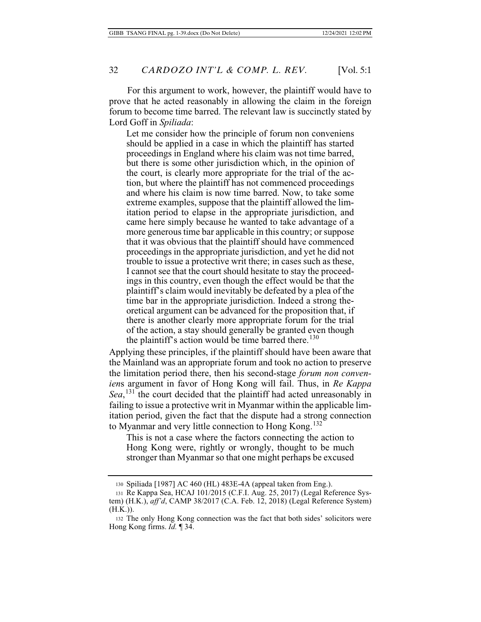For this argument to work, however, the plaintiff would have to prove that he acted reasonably in allowing the claim in the foreign forum to become time barred. The relevant law is succinctly stated by Lord Goff in *Spiliada*:

Let me consider how the principle of forum non conveniens should be applied in a case in which the plaintiff has started proceedings in England where his claim was not time barred, but there is some other jurisdiction which, in the opinion of the court, is clearly more appropriate for the trial of the action, but where the plaintiff has not commenced proceedings and where his claim is now time barred. Now, to take some extreme examples, suppose that the plaintiff allowed the limitation period to elapse in the appropriate jurisdiction, and came here simply because he wanted to take advantage of a more generous time bar applicable in this country; or suppose that it was obvious that the plaintiff should have commenced proceedings in the appropriate jurisdiction, and yet he did not trouble to issue a protective writ there; in cases such as these, I cannot see that the court should hesitate to stay the proceedings in this country, even though the effect would be that the plaintiff's claim would inevitably be defeated by a plea of the time bar in the appropriate jurisdiction. Indeed a strong theoretical argument can be advanced for the proposition that, if there is another clearly more appropriate forum for the trial of the action, a stay should generally be granted even though the plaintiff's action would be time barred there.<sup>130</sup>

Applying these principles, if the plaintiff should have been aware that the Mainland was an appropriate forum and took no action to preserve the limitation period there, then his second-stage *forum non convenien*s argument in favor of Hong Kong will fail. Thus, in *Re Kappa Sea*, <sup>131</sup> the court decided that the plaintiff had acted unreasonably in failing to issue a protective writ in Myanmar within the applicable limitation period, given the fact that the dispute had a strong connection to Myanmar and very little connection to Hong Kong.<sup>132</sup>

This is not a case where the factors connecting the action to Hong Kong were, rightly or wrongly, thought to be much stronger than Myanmar so that one might perhaps be excused

<sup>130</sup> Spiliada [1987] AC 460 (HL) 483E-4A (appeal taken from Eng.).

<sup>131</sup> Re Kappa Sea, HCAJ 101/2015 (C.F.I. Aug. 25, 2017) (Legal Reference System) (H.K.), *aff'd*, CAMP 38/2017 (C.A. Feb. 12, 2018) (Legal Reference System)  $(H.K.)$ ).

<sup>132</sup> The only Hong Kong connection was the fact that both sides' solicitors were Hong Kong firms. *Id.* ¶ 34.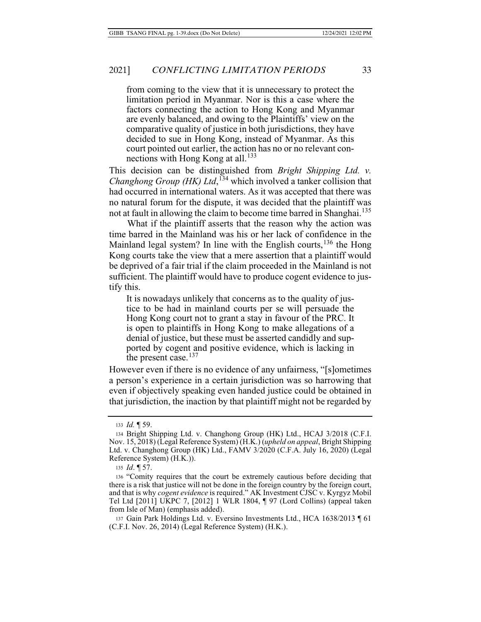### 2021] *CONFLICTING LIMITATION PERIODS* 33

from coming to the view that it is unnecessary to protect the limitation period in Myanmar. Nor is this a case where the factors connecting the action to Hong Kong and Myanmar are evenly balanced, and owing to the Plaintiffs' view on the comparative quality of justice in both jurisdictions, they have decided to sue in Hong Kong, instead of Myanmar. As this court pointed out earlier, the action has no or no relevant connections with Hong Kong at all.<sup>133</sup>

This decision can be distinguished from *Bright Shipping Ltd. v. Changhong Group (HK) Ltd*,<sup>134</sup> which involved a tanker collision that had occurred in international waters. As it was accepted that there was no natural forum for the dispute, it was decided that the plaintiff was not at fault in allowing the claim to become time barred in Shanghai.<sup>135</sup>

What if the plaintiff asserts that the reason why the action was time barred in the Mainland was his or her lack of confidence in the Mainland legal system? In line with the English courts,  $136$  the Hong Kong courts take the view that a mere assertion that a plaintiff would be deprived of a fair trial if the claim proceeded in the Mainland is not sufficient. The plaintiff would have to produce cogent evidence to justify this.

It is nowadays unlikely that concerns as to the quality of justice to be had in mainland courts per se will persuade the Hong Kong court not to grant a stay in favour of the PRC. It is open to plaintiffs in Hong Kong to make allegations of a denial of justice, but these must be asserted candidly and supported by cogent and positive evidence, which is lacking in the present case.<sup>137</sup>

However even if there is no evidence of any unfairness, "[s]ometimes a person's experience in a certain jurisdiction was so harrowing that even if objectively speaking even handed justice could be obtained in that jurisdiction, the inaction by that plaintiff might not be regarded by

137 Gain Park Holdings Ltd. v. Eversino Investments Ltd., HCA 1638/2013 ¶ 61 (C.F.I. Nov. 26, 2014) (Legal Reference System) (H.K.).

<sup>133</sup> *Id.* ¶ 59.

<sup>134</sup> Bright Shipping Ltd. v. Changhong Group (HK) Ltd., HCAJ 3/2018 (C.F.I. Nov. 15, 2018) (Legal Reference System) (H.K.) (*upheld on appeal*, Bright Shipping Ltd. v. Changhong Group (HK) Ltd., FAMV 3/2020 (C.F.A. July 16, 2020) (Legal Reference System) (H.K.)).

<sup>135</sup> *Id*. ¶ 57.

<sup>136 &</sup>quot;Comity requires that the court be extremely cautious before deciding that there is a risk that justice will not be done in the foreign country by the foreign court, and that is why *cogent evidence* is required." AK Investment CJSC v. Kyrgyz Mobil Tel Ltd [2011] UKPC 7, [2012] 1 WLR 1804, ¶ 97 (Lord Collins) (appeal taken from Isle of Man) (emphasis added).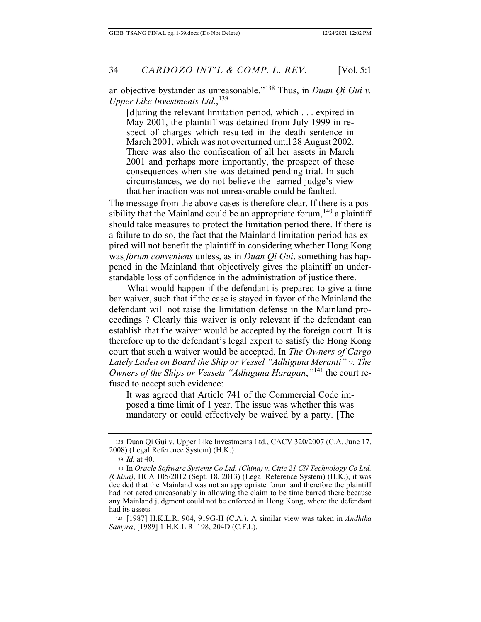an objective bystander as unreasonable."138 Thus, in *Duan Qi Gui v. Upper Like Investments Ltd.*,<sup>139</sup>

[d]uring the relevant limitation period, which . . . expired in May 2001, the plaintiff was detained from July 1999 in respect of charges which resulted in the death sentence in March 2001, which was not overturned until 28 August 2002. There was also the confiscation of all her assets in March 2001 and perhaps more importantly, the prospect of these consequences when she was detained pending trial. In such circumstances, we do not believe the learned judge's view that her inaction was not unreasonable could be faulted.

The message from the above cases is therefore clear. If there is a possibility that the Mainland could be an appropriate forum,  $140$  a plaintiff should take measures to protect the limitation period there. If there is a failure to do so, the fact that the Mainland limitation period has expired will not benefit the plaintiff in considering whether Hong Kong was *forum conveniens* unless, as in *Duan Qi Gui*, something has happened in the Mainland that objectively gives the plaintiff an understandable loss of confidence in the administration of justice there.

What would happen if the defendant is prepared to give a time bar waiver, such that if the case is stayed in favor of the Mainland the defendant will not raise the limitation defense in the Mainland proceedings ? Clearly this waiver is only relevant if the defendant can establish that the waiver would be accepted by the foreign court. It is therefore up to the defendant's legal expert to satisfy the Hong Kong court that such a waiver would be accepted. In *The Owners of Cargo Lately Laden on Board the Ship or Vessel "Adhiguna Meranti" v. The Owners of the Ships or Vessels "Adhiguna Harapan*,*"*141 the court refused to accept such evidence:

It was agreed that Article 741 of the Commercial Code imposed a time limit of 1 year. The issue was whether this was mandatory or could effectively be waived by a party. [The

141 [1987] H.K.L.R. 904, 919G-H (C.A.). A similar view was taken in *Andhika Samyra*, [1989] 1 H.K.L.R. 198, 204D (C.F.I.).

<sup>138</sup> Duan Qi Gui v. Upper Like Investments Ltd., CACV 320/2007 (C.A. June 17, 2008) (Legal Reference System) (H.K.).

<sup>139</sup> *Id.* at 40.

<sup>140</sup> In *Oracle Software Systems Co Ltd. (China) v. Citic 21 CN Technology Co Ltd. (China)*, HCA 105/2012 (Sept. 18, 2013) (Legal Reference System) (H.K.), it was decided that the Mainland was not an appropriate forum and therefore the plaintiff had not acted unreasonably in allowing the claim to be time barred there because any Mainland judgment could not be enforced in Hong Kong, where the defendant had its assets.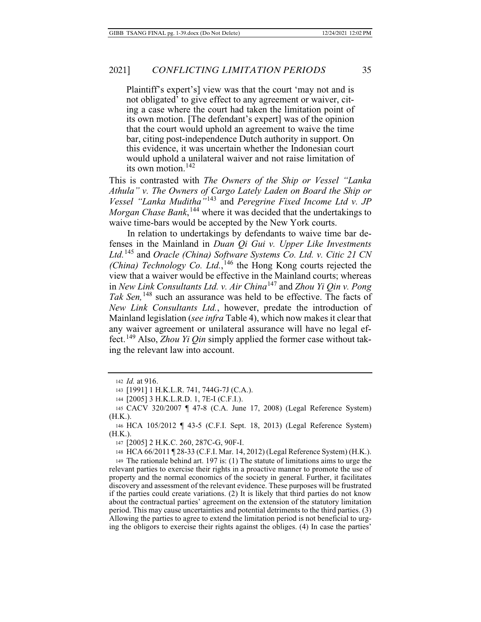Plaintiff's expert's] view was that the court 'may not and is not obligated' to give effect to any agreement or waiver, citing a case where the court had taken the limitation point of its own motion. [The defendant's expert] was of the opinion that the court would uphold an agreement to waive the time bar, citing post-independence Dutch authority in support. On this evidence, it was uncertain whether the Indonesian court would uphold a unilateral waiver and not raise limitation of its own motion.<sup>142</sup>

This is contrasted with *The Owners of the Ship or Vessel "Lanka Athula" v. The Owners of Cargo Lately Laden on Board the Ship or Vessel "Lanka Muditha"*143 and *Peregrine Fixed Income Ltd v. JP Morgan Chase Bank*, 144 where it was decided that the undertakings to waive time-bars would be accepted by the New York courts.

In relation to undertakings by defendants to waive time bar defenses in the Mainland in *Duan Qi Gui v. Upper Like Investments Ltd.*145 and *Oracle (China) Software Systems Co. Ltd. v. Citic 21 CN*  (China) Technology Co. Ltd.,<sup>146</sup> the Hong Kong courts rejected the view that a waiver would be effective in the Mainland courts; whereas in *New Link Consultants Ltd. v. Air China*<sup>147</sup> and *Zhou Yi Qin v. Pong Tak Sen,*148 such an assurance was held to be effective. The facts of *New Link Consultants Ltd.*, however, predate the introduction of Mainland legislation (*see infra* Table 4), which now makes it clear that any waiver agreement or unilateral assurance will have no legal effect.149 Also, *Zhou Yi Qin* simply applied the former case without taking the relevant law into account.

147 [2005] 2 H.K.C. 260, 287C-G, 90F-I.

149 The rationale behind art. 197 is: (1) The statute of limitations aims to urge the relevant parties to exercise their rights in a proactive manner to promote the use of property and the normal economics of the society in general. Further, it facilitates discovery and assessment of the relevant evidence. These purposes will be frustrated if the parties could create variations. (2) It is likely that third parties do not know about the contractual parties' agreement on the extension of the statutory limitation period. This may cause uncertainties and potential detriments to the third parties. (3) Allowing the parties to agree to extend the limitation period is not beneficial to urging the obligors to exercise their rights against the obliges. (4) In case the parties'

<sup>142</sup> *Id.* at 916.

<sup>143 [1991] 1</sup> H.K.L.R. 741, 744G-7J (C.A.).

<sup>144 [2005] 3</sup> H.K.L.R.D. 1, 7E-I (C.F.I.).

<sup>145</sup> CACV 320/2007 ¶ 47-8 (C.A. June 17, 2008) (Legal Reference System) (H.K.).

<sup>146</sup> HCA 105/2012 ¶ 43-5 (C.F.I. Sept. 18, 2013) (Legal Reference System) (H.K.).

<sup>148</sup> HCA 66/2011 ¶ 28-33 (C.F.I. Mar. 14, 2012) (Legal Reference System) (H.K.).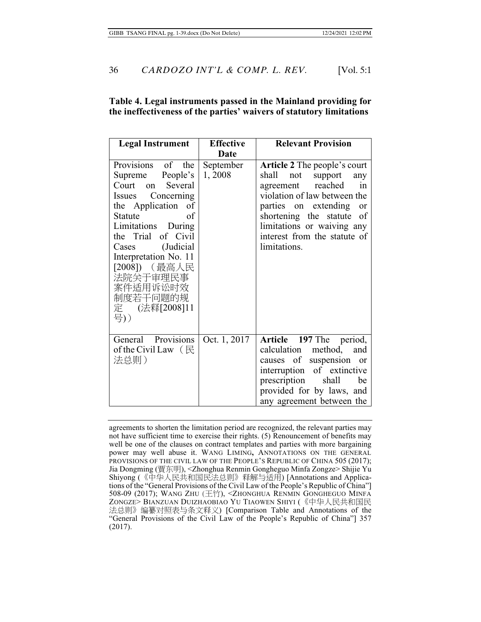### **Table 4. Legal instruments passed in the Mainland providing for the ineffectiveness of the parties' waivers of statutory limitations**

| <b>Legal Instrument</b>                                                                                                                                                                                                                                                                          | <b>Effective</b><br>Date | <b>Relevant Provision</b>                                                                                                                                                                                                                                                   |
|--------------------------------------------------------------------------------------------------------------------------------------------------------------------------------------------------------------------------------------------------------------------------------------------------|--------------------------|-----------------------------------------------------------------------------------------------------------------------------------------------------------------------------------------------------------------------------------------------------------------------------|
| Provisions of<br>the<br>People's<br>Supreme<br>Court on Several<br>Issues Concerning<br>the Application of<br>of<br>Statute<br>Limitations During<br>the Trial of Civil<br>Cases (Judicial<br>Interpretation No. 11<br>[2008]) (最高人民<br>法院关于审理民事<br>案件适用诉讼时效<br>制度若干问题的规<br>定 (法释[2008]11<br>号)) | September<br>1,2008      | <b>Article 2</b> The people's court<br>shall not<br>support<br>any<br>agreement reached<br>in<br>violation of law between the<br>parties on extending<br>or<br>shortening the statute<br>- of<br>limitations or waiving any<br>interest from the statute of<br>limitations. |
| General Provisions<br>of the Civil Law $($ $\mathbb{R}$<br>法总则)                                                                                                                                                                                                                                  | Oct. 1, 2017             | Article 197 The period,<br>calculation method,<br>and<br>causes of suspension or<br>interruption of extinctive<br>prescription<br>shall<br>be<br>provided for by laws, and<br>any agreement between the                                                                     |

agreements to shorten the limitation period are recognized, the relevant parties may not have sufficient time to exercise their rights. (5) Renouncement of benefits may well be one of the clauses on contract templates and parties with more bargaining power may well abuse it. WANG LIMING**,** ANNOTATIONS ON THE GENERAL PROVISIONS OF THE CIVIL LAW OF THE PEOPLE'S REPUBLIC OF CHINA 505 (2017); Jia Dongming (賈东明), <Zhonghua Renmin Gongheguo Minfa Zongze> Shijie Yu Shiyong (《中华人民共和国民法总则》释解与适用) [Annotations and Applications of the "General Provisions of the Civil Law of the People's Republic of China"] 508-09 (2017); WANG ZHU **(**䌳䪡), <ZHONGHUA RENMIN GONGHEGUO MINFA ZONGZE> BIANZUAN DUIZHAOBIAO YU TIAOWEN SHIYI (《中华人民共和国民 法总则》编纂对照表与条文释义) [Comparison Table and Annotations of the "General Provisions of the Civil Law of the People's Republic of China"] 357 (2017).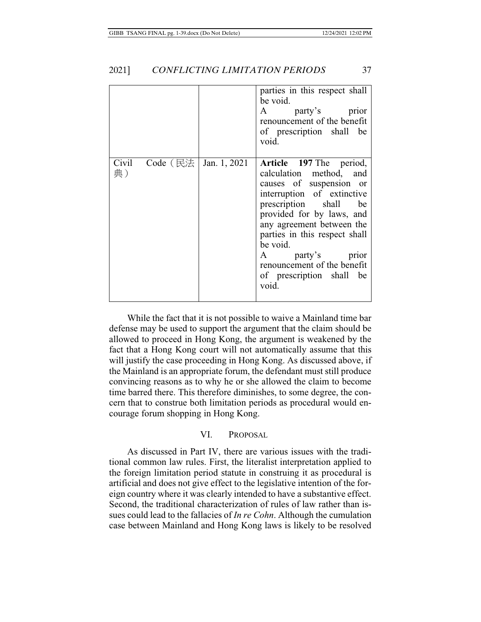|             |          |              | parties in this respect shall<br>be void.<br>party's prior<br>$\mathbf{A}$<br>renouncement of the benefit<br>of prescription shall be<br>void.                                                                                                                                                                                           |
|-------------|----------|--------------|------------------------------------------------------------------------------------------------------------------------------------------------------------------------------------------------------------------------------------------------------------------------------------------------------------------------------------------|
| Civil<br>典) | Code (民法 | Jan. 1, 2021 | Article 197 The period,<br>calculation method,<br>and<br>causes of suspension or<br>interruption of extinctive<br>prescription shall<br>be<br>provided for by laws, and<br>any agreement between the<br>parties in this respect shall<br>be void.<br>A party's prior<br>renouncement of the benefit<br>of prescription shall be<br>void. |

While the fact that it is not possible to waive a Mainland time bar defense may be used to support the argument that the claim should be allowed to proceed in Hong Kong, the argument is weakened by the fact that a Hong Kong court will not automatically assume that this will justify the case proceeding in Hong Kong. As discussed above, if the Mainland is an appropriate forum, the defendant must still produce convincing reasons as to why he or she allowed the claim to become time barred there. This therefore diminishes, to some degree, the concern that to construe both limitation periods as procedural would encourage forum shopping in Hong Kong.

### VI. PROPOSAL

As discussed in Part IV, there are various issues with the traditional common law rules. First, the literalist interpretation applied to the foreign limitation period statute in construing it as procedural is artificial and does not give effect to the legislative intention of the foreign country where it was clearly intended to have a substantive effect. Second, the traditional characterization of rules of law rather than issues could lead to the fallacies of *In re Cohn*. Although the cumulation case between Mainland and Hong Kong laws is likely to be resolved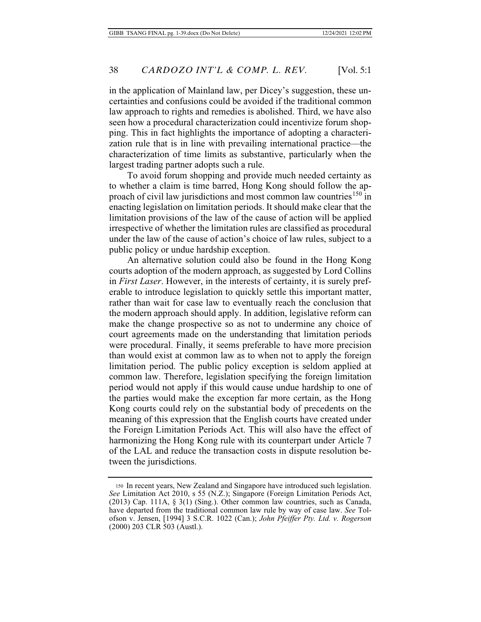in the application of Mainland law, per Dicey's suggestion, these uncertainties and confusions could be avoided if the traditional common law approach to rights and remedies is abolished. Third, we have also seen how a procedural characterization could incentivize forum shopping. This in fact highlights the importance of adopting a characterization rule that is in line with prevailing international practice—the characterization of time limits as substantive, particularly when the largest trading partner adopts such a rule.

To avoid forum shopping and provide much needed certainty as to whether a claim is time barred, Hong Kong should follow the approach of civil law jurisdictions and most common law countries<sup>150</sup> in enacting legislation on limitation periods. It should make clear that the limitation provisions of the law of the cause of action will be applied irrespective of whether the limitation rules are classified as procedural under the law of the cause of action's choice of law rules, subject to a public policy or undue hardship exception.

An alternative solution could also be found in the Hong Kong courts adoption of the modern approach, as suggested by Lord Collins in *First Laser*. However, in the interests of certainty, it is surely preferable to introduce legislation to quickly settle this important matter, rather than wait for case law to eventually reach the conclusion that the modern approach should apply. In addition, legislative reform can make the change prospective so as not to undermine any choice of court agreements made on the understanding that limitation periods were procedural. Finally, it seems preferable to have more precision than would exist at common law as to when not to apply the foreign limitation period. The public policy exception is seldom applied at common law. Therefore, legislation specifying the foreign limitation period would not apply if this would cause undue hardship to one of the parties would make the exception far more certain, as the Hong Kong courts could rely on the substantial body of precedents on the meaning of this expression that the English courts have created under the Foreign Limitation Periods Act. This will also have the effect of harmonizing the Hong Kong rule with its counterpart under Article 7 of the LAL and reduce the transaction costs in dispute resolution between the jurisdictions.

<sup>150</sup> In recent years, New Zealand and Singapore have introduced such legislation. *See* Limitation Act 2010, s 55 (N.Z.); Singapore (Foreign Limitation Periods Act, (2013) Cap. 111A, § 3(1) (Sing.). Other common law countries, such as Canada, have departed from the traditional common law rule by way of case law. *See* Tolofson v. Jensen, [1994] 3 S.C.R. 1022 (Can.); *John Pfeiffer Pty. Ltd. v. Rogerson* (2000) 203 CLR 503 (Austl.).